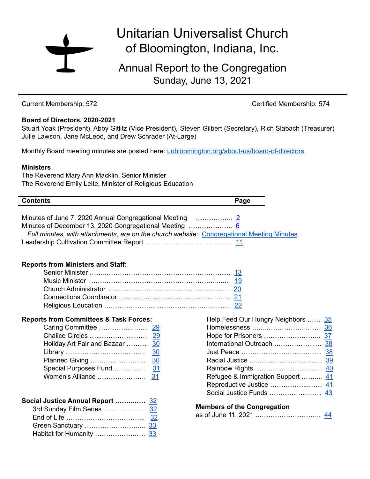

# Unitarian Universalist Church of Bloomington, Indiana, Inc.

Annual Report to the Congregation Sunday, June 13, 2021

Current Membership: 572 Certified Membership: 574

#### **Board of Directors, 2020-2021**

Stuart Yoak (President), Abby Gitlitz (Vice President), Steven Gilbert (Secretary), Rich Slabach (Treasurer) Julie Lawson, Jane McLeod, and Drew Schrader (At-Large)

Monthly Board meeting minutes are posted here: [uubloomington.org/about-us/board-of-directors](http://www.uubloomington.org/about-us/board-of-directors/)

#### **Ministers**

The Reverend Mary Ann Macklin, Senior Minister The Reverend Emily Leite, Minister of Religious Education

| <b>Contents</b>                                                                           | Page |
|-------------------------------------------------------------------------------------------|------|
|                                                                                           |      |
|                                                                                           |      |
|                                                                                           |      |
| Full minutes, with attachments, are on the church website: Congregational Meeting Minutes |      |
|                                                                                           |      |

#### **Reports from Ministers and Staff:**

#### **Reports from Committees & Task Forces:**

| Holiday Art Fair and Bazaar | <u>30</u> |
|-----------------------------|-----------|
|                             | 30        |
| Planned Giving              | 30        |
| Special Purposes Fund       | 31        |
|                             |           |

| Social Justice Annual Report  32 |  |
|----------------------------------|--|
|                                  |  |
|                                  |  |
|                                  |  |
|                                  |  |

| Help Feed Our Hungry Neighbors  35<br>Refugee & Immigration Support  41 |  |
|-------------------------------------------------------------------------|--|
|                                                                         |  |
|                                                                         |  |

#### **Members of the Congregation**

|--|--|--|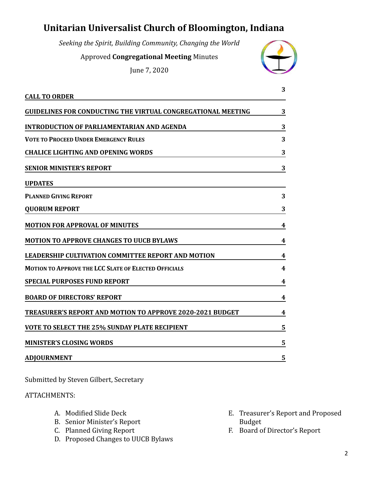## <span id="page-1-0"></span>**Unitarian Universalist Church of Bloomington, Indiana**

*Seeking the Spirit, Building Community, Changing the World*

Approved **Congregational Meeting** Minutes

June 7, 2020



|                                                                  | 3 |
|------------------------------------------------------------------|---|
| <b>CALL TO ORDER</b>                                             |   |
| GUIDELINES FOR CONDUCTING THE VIRTUAL CONGREGATIONAL MEETING     | 3 |
| <b>INTRODUCTION OF PARLIAMENTARIAN AND AGENDA</b>                | 3 |
| <b>VOTE TO PROCEED UNDER EMERGENCY RULES</b>                     | 3 |
| <b>CHALICE LIGHTING AND OPENING WORDS</b>                        | 3 |
| <b>SENIOR MINISTER'S REPORT</b>                                  | 3 |
| <b>UPDATES</b>                                                   |   |
| <b>PLANNED GIVING REPORT</b>                                     | 3 |
| <b>QUORUM REPORT</b>                                             | 3 |
| <b>MOTION FOR APPROVAL OF MINUTES</b>                            | 4 |
| <b>MOTION TO APPROVE CHANGES TO UUCB BYLAWS</b>                  | 4 |
| <b>LEADERSHIP CULTIVATION COMMITTEE REPORT AND MOTION</b>        | 4 |
| <b>MOTION TO APPROVE THE LCC SLATE OF ELECTED OFFICIALS</b>      | 4 |
| <b>SPECIAL PURPOSES FUND REPORT</b>                              | 4 |
| <b>BOARD OF DIRECTORS' REPORT</b>                                | 4 |
| <b>TREASURER'S REPORT AND MOTION TO APPROVE 2020-2021 BUDGET</b> | 4 |
| <b>VOTE TO SELECT THE 25% SUNDAY PLATE RECIPIENT</b>             | 5 |
| <b>MINISTER'S CLOSING WORDS</b>                                  | 5 |
| <b>ADJOURNMENT</b>                                               | 5 |

Submitted by Steven Gilbert, Secretary

#### ATTACHMENTS:

- A. Modified Slide Deck
- B. Senior Minister's Report
- C. Planned Giving Report
- D. Proposed Changes to UUCB Bylaws
- E. Treasurer's Report and Proposed Budget
- F. Board of Director's Report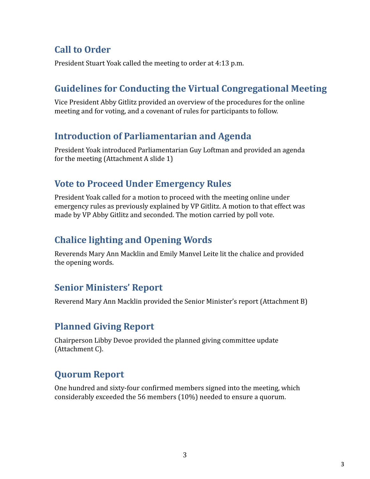## **Call to Order**

President Stuart Yoak called the meeting to order at 4:13 p.m.

## **Guidelines for Conducting the Virtual Congregational Meeting**

Vice President Abby Gitlitz provided an overview of the procedures for the online meeting and for voting, and a covenant of rules for participants to follow.

## **Introduction of Parliamentarian and Agenda**

President Yoak introduced Parliamentarian Guy Loftman and provided an agenda for the meeting (Attachment A slide 1)

## **Vote to Proceed Under Emergency Rules**

President Yoak called for a motion to proceed with the meeting online under emergency rules as previously explained by VP Gitlitz. A motion to that effect was made by VP Abby Gitlitz and seconded. The motion carried by poll vote.

## **Chalice lighting and Opening Words**

Reverends Mary Ann Macklin and Emily Manvel Leite lit the chalice and provided the opening words.

## **Senior Ministers' Report**

Reverend Mary Ann Macklin provided the Senior Minister's report (Attachment B)

## **Planned Giving Report**

Chairperson Libby Devoe provided the planned giving committee update (Attachment C).

## **Quorum Report**

One hundred and sixty-four confirmed members signed into the meeting, which considerably exceeded the 56 members (10%) needed to ensure a quorum.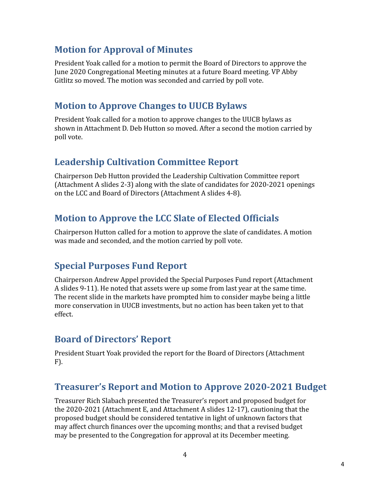## **Motion for Approval of Minutes**

President Yoak called for a motion to permit the Board of Directors to approve the June 2020 Congregational Meeting minutes at a future Board meeting. VP Abby Gitlitz so moved. The motion was seconded and carried by poll vote.

## **Motion to Approve Changes to UUCB Bylaws**

President Yoak called for a motion to approve changes to the UUCB bylaws as shown in Attachment D. Deb Hutton so moved. After a second the motion carried by poll vote.

## **Leadership Cultivation Committee Report**

Chairperson Deb Hutton provided the Leadership Cultivation Committee report (Attachment A slides 2-3) along with the slate of candidates for 2020-2021 openings on the LCC and Board of Directors (Attachment A slides 4-8).

## **Motion to Approve the LCC Slate of Elected Officials**

Chairperson Hutton called for a motion to approve the slate of candidates. A motion was made and seconded, and the motion carried by poll vote.

## **Special Purposes Fund Report**

Chairperson Andrew Appel provided the Special Purposes Fund report (Attachment A slides 9-11). He noted that assets were up some from last year at the same time. The recent slide in the markets have prompted him to consider maybe being a little more conservation in UUCB investments, but no action has been taken yet to that effect.

## **Board of Directors' Report**

President Stuart Yoak provided the report for the Board of Directors (Attachment F).

### **Treasurer's Report and Motion to Approve 2020-2021 Budget**

Treasurer Rich Slabach presented the Treasurer's report and proposed budget for the 2020-2021 (Attachment E, and Attachment A slides 12-17), cautioning that the proposed budget should be considered tentative in light of unknown factors that may affect church finances over the upcoming months; and that a revised budget may be presented to the Congregation for approval at its December meeting.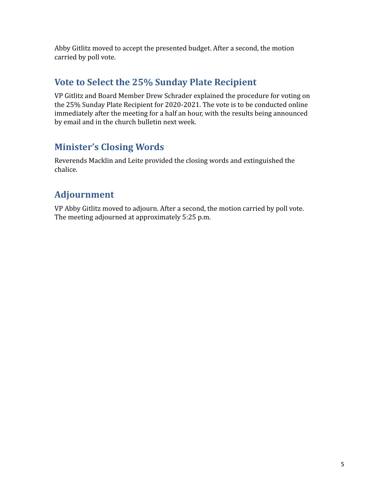Abby Gitlitz moved to accept the presented budget. After a second, the motion carried by poll vote.

## **Vote to Select the 25% Sunday Plate Recipient**

VP Gitlitz and Board Member Drew Schrader explained the procedure for voting on the 25% Sunday Plate Recipient for 2020-2021. The vote is to be conducted online immediately after the meeting for a half an hour, with the results being announced by email and in the church bulletin next week.

## **Minister's Closing Words**

Reverends Macklin and Leite provided the closing words and extinguished the chalice.

## **Adjournment**

VP Abby Gitlitz moved to adjourn. After a second, the motion carried by poll vote. The meeting adjourned at approximately 5:25 p.m.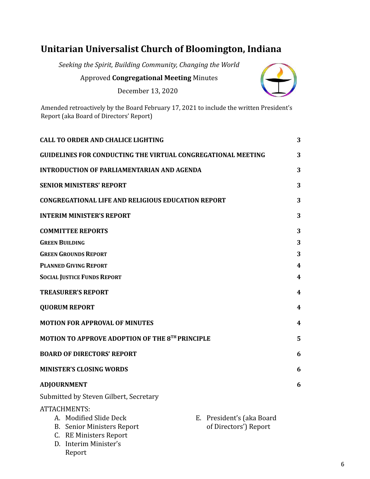## <span id="page-5-0"></span>**Unitarian Universalist Church of Bloomington, Indiana**

*Seeking the Spirit, Building Community, Changing the World*

Approved **Congregational Meeting** Minutes

December 13, 2020



Amended retroactively by the Board February 17, 2021 to include the written President's Report (aka Board of Directors' Report)

|                       | <b>CALL TO ORDER AND CHALICE LIGHTING</b>                                                                                          |                                                    | 3 |
|-----------------------|------------------------------------------------------------------------------------------------------------------------------------|----------------------------------------------------|---|
|                       | <b>GUIDELINES FOR CONDUCTING THE VIRTUAL CONGREGATIONAL MEETING</b>                                                                |                                                    | 3 |
|                       | <b>INTRODUCTION OF PARLIAMENTARIAN AND AGENDA</b>                                                                                  |                                                    | 3 |
|                       | <b>SENIOR MINISTERS' REPORT</b>                                                                                                    |                                                    | 3 |
|                       | <b>CONGREGATIONAL LIFE AND RELIGIOUS EDUCATION REPORT</b>                                                                          |                                                    | 3 |
|                       | <b>INTERIM MINISTER'S REPORT</b>                                                                                                   |                                                    | 3 |
|                       | <b>COMMITTEE REPORTS</b>                                                                                                           |                                                    | 3 |
| <b>GREEN BUILDING</b> |                                                                                                                                    |                                                    | 3 |
|                       | <b>GREEN GROUNDS REPORT</b>                                                                                                        |                                                    | 3 |
|                       | <b>PLANNED GIVING REPORT</b>                                                                                                       |                                                    | 4 |
|                       | <b>SOCIAL JUSTICE FUNDS REPORT</b>                                                                                                 |                                                    | 4 |
|                       | <b>TREASURER'S REPORT</b>                                                                                                          |                                                    | 4 |
|                       | <b>QUORUM REPORT</b>                                                                                                               |                                                    | 4 |
|                       | <b>MOTION FOR APPROVAL OF MINUTES</b>                                                                                              |                                                    | 4 |
|                       | MOTION TO APPROVE ADOPTION OF THE 8TH PRINCIPLE                                                                                    |                                                    | 5 |
|                       | <b>BOARD OF DIRECTORS' REPORT</b>                                                                                                  |                                                    | 6 |
|                       | <b>MINISTER'S CLOSING WORDS</b>                                                                                                    |                                                    | 6 |
|                       | <b>ADJOURNMENT</b>                                                                                                                 |                                                    | 6 |
|                       | Submitted by Steven Gilbert, Secretary                                                                                             |                                                    |   |
| B.<br>C.              | ATTACHMENTS:<br>A. Modified Slide Deck<br>Senior Ministers Report<br><b>RE Ministers Report</b><br>D. Interim Minister's<br>Report | E. President's (aka Board<br>of Directors') Report |   |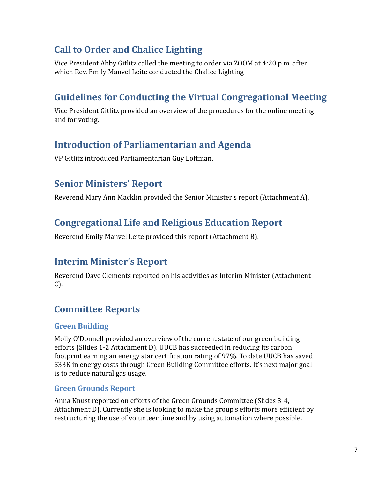## <span id="page-6-0"></span>**Call to Order and Chalice Lighting**

Vice President Abby Gitlitz called the meeting to order via ZOOM at 4:20 p.m. after which Rev. Emily Manvel Leite conducted the Chalice Lighting

## <span id="page-6-1"></span>**Guidelines for Conducting the Virtual Congregational Meeting**

Vice President Gitlitz provided an overview of the procedures for the online meeting and for voting.

## <span id="page-6-2"></span>**Introduction of Parliamentarian and Agenda**

VP Gitlitz introduced Parliamentarian Guy Loftman.

## <span id="page-6-3"></span>**Senior Ministers' Report**

Reverend Mary Ann Macklin provided the Senior Minister's report (Attachment A).

## <span id="page-6-4"></span>**Congregational Life and Religious Education Report**

Reverend Emily Manvel Leite provided this report (Attachment B).

## <span id="page-6-5"></span>**Interim Minister's Report**

Reverend Dave Clements reported on his activities as Interim Minister (Attachment C).

## <span id="page-6-6"></span>**Committee Reports**

### <span id="page-6-7"></span>**Green Building**

Molly O'Donnell provided an overview of the current state of our green building efforts (Slides 1-2 Attachment D). UUCB has succeeded in reducing its carbon footprint earning an energy star certification rating of 97%. To date UUCB has saved \$33K in energy costs through Green Building Committee efforts. It's next major goal is to reduce natural gas usage.

### <span id="page-6-8"></span>**Green Grounds Report**

Anna Knust reported on efforts of the Green Grounds Committee (Slides 3-4, Attachment D). Currently she is looking to make the group's efforts more efficient by restructuring the use of volunteer time and by using automation where possible.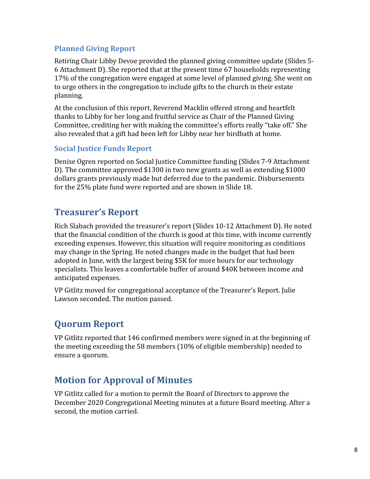#### <span id="page-7-0"></span>**Planned Giving Report**

Retiring Chair Libby Devoe provided the planned giving committee update (Slides 5- 6 Attachment D). She reported that at the present time 67 households representing 17% of the congregation were engaged at some level of planned giving. She went on to urge others in the congregation to include gifts to the church in their estate planning.

At the conclusion of this report, Reverend Macklin offered strong and heartfelt thanks to Libby for her long and fruitful service as Chair of the Planned Giving Committee, crediting her with making the committee's efforts really "take off." She also revealed that a gift had been left for Libby near her birdbath at home.

#### <span id="page-7-1"></span>**Social Justice Funds Report**

Denise Ogren reported on Social Justice Committee funding (Slides 7-9 Attachment D). The committee approved \$1300 in two new grants as well as extending \$1000 dollars grants previously made but deferred due to the pandemic. Disbursements for the 25% plate fund were reported and are shown in Slide 18.

## <span id="page-7-2"></span>**Treasurer's Report**

Rich Slabach provided the treasurer's report (Slides 10-12 Attachment D). He noted that the financial condition of the church is good at this time, with income currently exceeding expenses. However, this situation will require monitoring as conditions may change in the Spring. He noted changes made in the budget that had been adopted in June, with the largest being \$5K for more hours for our technology specialists. This leaves a comfortable buffer of around \$40K between income and anticipated expenses.

VP Gitlitz moved for congregational acceptance of the Treasurer's Report. Julie Lawson seconded. The motion passed.

### <span id="page-7-3"></span>**Quorum Report**

VP Gitlitz reported that 146 confirmed members were signed in at the beginning of the meeting exceeding the 58 members (10% of eligible membership) needed to ensure a quorum.

### <span id="page-7-4"></span>**Motion for Approval of Minutes**

VP Gitlitz called for a motion to permit the Board of Directors to approve the December 2020 Congregational Meeting minutes at a future Board meeting. After a second, the motion carried.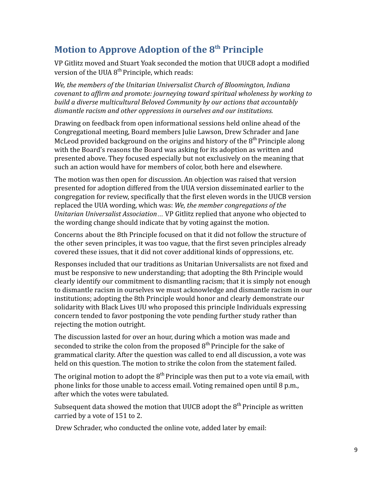## <span id="page-8-0"></span>**Motion to Approve Adoption of the 8 th Principle**

VP Gitlitz moved and Stuart Yoak seconded the motion that UUCB adopt a modified version of the UUA  $8<sup>th</sup>$  Principle, which reads:

*We, the members of the Unitarian Universalist Church of Bloomington, Indiana covenant to affirm and promote: journeying toward spiritual wholeness by working to build a diverse multicultural Beloved Community by our actions that accountably dismantle racism and other oppressions in ourselves and our institutions.*

Drawing on feedback from open informational sessions held online ahead of the Congregational meeting, Board members Julie Lawson, Drew Schrader and Jane McLeod provided background on the origins and history of the  $8<sup>th</sup>$  Principle along with the Board's reasons the Board was asking for its adoption as written and presented above. They focused especially but not exclusively on the meaning that such an action would have for members of color, both here and elsewhere.

The motion was then open for discussion. An objection was raised that version presented for adoption differed from the UUA version disseminated earlier to the congregation for review, specifically that the first eleven words in the UUCB version replaced the UUA wording, which was: *We, the member congregations of the Unitarian Universalist Association…* VP Gitlitz replied that anyone who objected to the wording change should indicate that by voting against the motion.

Concerns about the 8th Principle focused on that it did not follow the structure of the other seven principles, it was too vague, that the first seven principles already covered these issues, that it did not cover additional kinds of oppressions, etc.

Responses included that our traditions as Unitarian Universalists are not fixed and must be responsive to new understanding; that adopting the 8th Principle would clearly identify our commitment to dismantling racism; that it is simply not enough to dismantle racism in ourselves we must acknowledge and dismantle racism in our institutions; adopting the 8th Principle would honor and clearly demonstrate our solidarity with Black Lives UU who proposed this principle Individuals expressing concern tended to favor postponing the vote pending further study rather than rejecting the motion outright.

The discussion lasted for over an hour, during which a motion was made and seconded to strike the colon from the proposed  $8<sup>th</sup>$  Principle for the sake of grammatical clarity. After the question was called to end all discussion, a vote was held on this question. The motion to strike the colon from the statement failed.

The original motion to adopt the  $8<sup>th</sup>$  Principle was then put to a vote via email, with phone links for those unable to access email. Voting remained open until 8 p.m., after which the votes were tabulated.

Subsequent data showed the motion that UUCB adopt the  $8<sup>th</sup>$  Principle as written carried by a vote of 151 to 2.

Drew Schrader, who conducted the online vote, added later by email: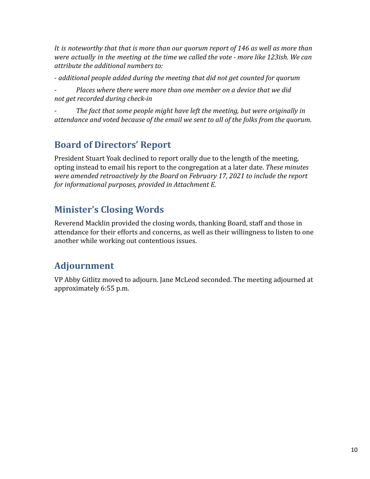*It is noteworthy that that is more than our quorum report of 146 as well as more than were actually in the meeting at the time we called the vote - more like 123ish. We can attribute the additional numbers to:*

*- additional people added during the meeting that did not get counted for quorum*

*- Places where there were more than one member on a device that we did not get recorded during check-in*

*- The fact that some people might have left the meeting, but were originally in attendance and voted because of the email we sent to all of the folks from the quorum.*

## <span id="page-9-0"></span>**Board of Directors' Report**

President Stuart Yoak declined to report orally due to the length of the meeting, opting instead to email his report to the congregation at a later date. *These minutes were amended retroactively by the Board on February 17, 2021 to include the report for informational purposes, provided in Attachment E.*

## <span id="page-9-1"></span>**Minister's Closing Words**

Reverend Macklin provided the closing words, thanking Board, staff and those in attendance for their efforts and concerns, as well as their willingness to listen to one another while working out contentious issues.

## <span id="page-9-2"></span>**Adjournment**

VP Abby Gitlitz moved to adjourn. Jane McLeod seconded. The meeting adjourned at approximately 6:55 p.m.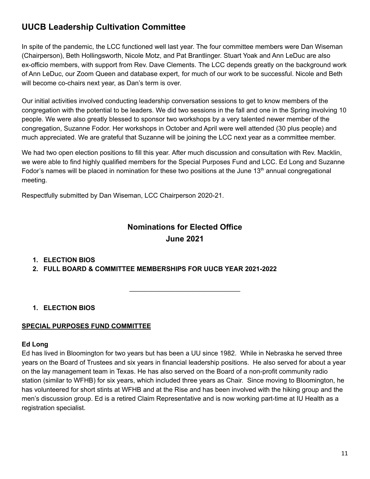### <span id="page-10-0"></span>**UUCB Leadership Cultivation Committee**

In spite of the pandemic, the LCC functioned well last year. The four committee members were Dan Wiseman (Chairperson), Beth Hollingsworth, Nicole Motz, and Pat Brantlinger. Stuart Yoak and Ann LeDuc are also ex-officio members, with support from Rev. Dave Clements. The LCC depends greatly on the background work of Ann LeDuc, our Zoom Queen and database expert, for much of our work to be successful. Nicole and Beth will become co-chairs next year, as Dan's term is over.

Our initial activities involved conducting leadership conversation sessions to get to know members of the congregation with the potential to be leaders. We did two sessions in the fall and one in the Spring involving 10 people. We were also greatly blessed to sponsor two workshops by a very talented newer member of the congregation, Suzanne Fodor. Her workshops in October and April were well attended (30 plus people) and much appreciated. We are grateful that Suzanne will be joining the LCC next year as a committee member.

We had two open election positions to fill this year. After much discussion and consultation with Rev. Macklin, we were able to find highly qualified members for the Special Purposes Fund and LCC. Ed Long and Suzanne Fodor's names will be placed in nomination for these two positions at the June  $13<sup>th</sup>$  annual congregational meeting.

Respectfully submitted by Dan Wiseman, LCC Chairperson 2020-21.

## **Nominations for Elected Office June 2021**

\_\_\_\_\_\_\_\_\_\_\_\_\_\_\_\_\_\_\_\_\_\_\_\_\_\_\_\_\_\_

#### **1. ELECTION BIOS**

**2. FULL BOARD & COMMITTEE MEMBERSHIPS FOR UUCB YEAR 2021-2022**

#### **1. ELECTION BIOS**

#### **SPECIAL PURPOSES FUND COMMITTEE**

#### **Ed Long**

Ed has lived in Bloomington for two years but has been a UU since 1982. While in Nebraska he served three years on the Board of Trustees and six years in financial leadership positions. He also served for about a year on the lay management team in Texas. He has also served on the Board of a non-profit community radio station (similar to WFHB) for six years, which included three years as Chair. Since moving to Bloomington, he has volunteered for short stints at WFHB and at the Rise and has been involved with the hiking group and the men's discussion group. Ed is a retired Claim Representative and is now working part-time at IU Health as a registration specialist.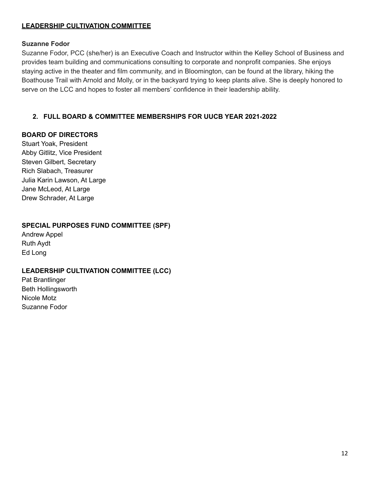#### **LEADERSHIP CULTIVATION COMMITTEE**

#### **Suzanne Fodor**

Suzanne Fodor, PCC (she/her) is an Executive Coach and Instructor within the Kelley School of Business and provides team building and communications consulting to corporate and nonprofit companies. She enjoys staying active in the theater and film community, and in Bloomington, can be found at the library, hiking the Boathouse Trail with Arnold and Molly, or in the backyard trying to keep plants alive. She is deeply honored to serve on the LCC and hopes to foster all members' confidence in their leadership ability.

#### **2. FULL BOARD & COMMITTEE MEMBERSHIPS FOR UUCB YEAR 2021-2022**

#### **BOARD OF DIRECTORS**

Stuart Yoak, President Abby Gitlitz, Vice President Steven Gilbert, Secretary Rich Slabach, Treasurer Julia Karin Lawson, At Large Jane McLeod, At Large Drew Schrader, At Large

#### **SPECIAL PURPOSES FUND COMMITTEE (SPF)**

Andrew Appel Ruth Aydt Ed Long

#### **LEADERSHIP CULTIVATION COMMITTEE (LCC)**

Pat Brantlinger Beth Hollingsworth Nicole Motz Suzanne Fodor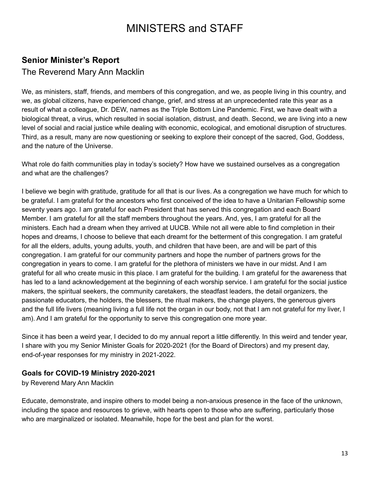# MINISTERS and STAFF

### <span id="page-12-0"></span>**Senior Minister's Report**

#### The Reverend Mary Ann Macklin

We, as ministers, staff, friends, and members of this congregation, and we, as people living in this country, and we, as global citizens, have experienced change, grief, and stress at an unprecedented rate this year as a result of what a colleague, Dr. DEW, names as the Triple Bottom Line Pandemic. First, we have dealt with a biological threat, a virus, which resulted in social isolation, distrust, and death. Second, we are living into a new level of social and racial justice while dealing with economic, ecological, and emotional disruption of structures. Third, as a result, many are now questioning or seeking to explore their concept of the sacred, God, Goddess, and the nature of the Universe.

What role do faith communities play in today's society? How have we sustained ourselves as a congregation and what are the challenges?

I believe we begin with gratitude, gratitude for all that is our lives. As a congregation we have much for which to be grateful. I am grateful for the ancestors who first conceived of the idea to have a Unitarian Fellowship some seventy years ago. I am grateful for each President that has served this congregation and each Board Member. I am grateful for all the staff members throughout the years. And, yes, I am grateful for all the ministers. Each had a dream when they arrived at UUCB. While not all were able to find completion in their hopes and dreams, I choose to believe that each dreamt for the betterment of this congregation. I am grateful for all the elders, adults, young adults, youth, and children that have been, are and will be part of this congregation. I am grateful for our community partners and hope the number of partners grows for the congregation in years to come. I am grateful for the plethora of ministers we have in our midst. And I am grateful for all who create music in this place. I am grateful for the building. I am grateful for the awareness that has led to a land acknowledgement at the beginning of each worship service. I am grateful for the social justice makers, the spiritual seekers, the community caretakers, the steadfast leaders, the detail organizers, the passionate educators, the holders, the blessers, the ritual makers, the change players, the generous givers and the full life livers (meaning living a full life not the organ in our body, not that I am not grateful for my liver, I am). And I am grateful for the opportunity to serve this congregation one more year.

Since it has been a weird year, I decided to do my annual report a little differently. In this weird and tender year, I share with you my Senior Minister Goals for 2020-2021 (for the Board of Directors) and my present day, end-of-year responses for my ministry in 2021-2022.

#### **Goals for COVID-19 Ministry 2020-2021**

by Reverend Mary Ann Macklin

Educate, demonstrate, and inspire others to model being a non-anxious presence in the face of the unknown, including the space and resources to grieve, with hearts open to those who are suffering, particularly those who are marginalized or isolated. Meanwhile, hope for the best and plan for the worst.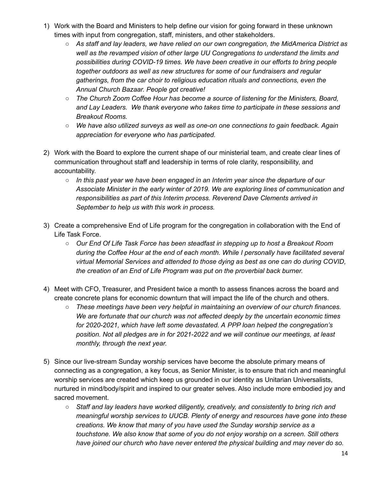- 1) Work with the Board and Ministers to help define our vision for going forward in these unknown times with input from congregation, staff, ministers, and other stakeholders.
	- *As staff and lay leaders, we have relied on our own congregation, the MidAmerica District as well as the revamped vision of other large UU Congregations to understand the limits and possibilities during COVID-19 times. We have been creative in our efforts to bring people together outdoors as well as new structures for some of our fundraisers and regular gatherings, from the car choir to religious education rituals and connections, even the Annual Church Bazaar. People got creative!*
	- *○ The Church Zoom Coffee Hour has become a source of listening for the Ministers, Board, and Lay Leaders. We thank everyone who takes time to participate in these sessions and Breakout Rooms.*
	- *○ We have also utilized surveys as well as one-on one connections to gain feedback. Again appreciation for everyone who has participated.*
- 2) Work with the Board to explore the current shape of our ministerial team, and create clear lines of communication throughout staff and leadership in terms of role clarity, responsibility, and accountability.
	- *In this past year we have been engaged in an Interim year since the departure of our Associate Minister in the early winter of 2019. We are exploring lines of communication and responsibilities as part of this Interim process. Reverend Dave Clements arrived in September to help us with this work in process.*
- 3) Create a comprehensive End of Life program for the congregation in collaboration with the End of Life Task Force.
	- *Our End Of Life Task Force has been steadfast in stepping up to host a Breakout Room during the Coffee Hour at the end of each month. While I personally have facilitated several virtual Memorial Services and attended to those dying as best as one can do during COVID, the creation of an End of Life Program was put on the proverbial back burner.*
- 4) Meet with CFO, Treasurer, and President twice a month to assess finances across the board and create concrete plans for economic downturn that will impact the life of the church and others.
	- *These meetings have been very helpful in maintaining an overview of our church finances. We are fortunate that our church was not affected deeply by the uncertain economic times for 2020-2021, which have left some devastated. A PPP loan helped the congregation's position. Not all pledges are in for 2021-2022 and we will continue our meetings, at least monthly, through the next year.*
- 5) Since our live-stream Sunday worship services have become the absolute primary means of connecting as a congregation, a key focus, as Senior Minister, is to ensure that rich and meaningful worship services are created which keep us grounded in our identity as Unitarian Universalists, nurtured in mind/body/spirit and inspired to our greater selves. Also include more embodied joy and sacred movement.
	- *Staff and lay leaders have worked diligently, creatively, and consistently to bring rich and meaningful worship services to UUCB. Plenty of energy and resources have gone into these creations. We know that many of you have used the Sunday worship service as a touchstone. We also know that some of you do not enjoy worship on a screen. Still others have joined our church who have never entered the physical building and may never do so.*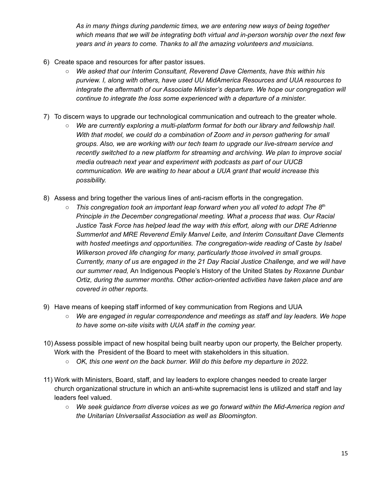*As in many things during pandemic times, we are entering new ways of being together which means that we will be integrating both virtual and in-person worship over the next few years and in years to come. Thanks to all the amazing volunteers and musicians.*

- 6) Create space and resources for after pastor issues.
	- *We asked that our Interim Consultant, Reverend Dave Clements, have this within his purview. I, along with others, have used UU MidAmerica Resources and UUA resources to integrate the aftermath of our Associate Minister's departure. We hope our congregation will continue to integrate the loss some experienced with a departure of a minister.*
- 7) To discern ways to upgrade our technological communication and outreach to the greater whole.
	- *○ We are currently exploring a multi-platform format for both our library and fellowship hall. With that model, we could do a combination of Zoom and in person gathering for small groups. Also, we are working with our tech team to upgrade our live-stream service and recently switched to a new platform for streaming and archiving. We plan to improve social media outreach next year and experiment with podcasts as part of our UUCB communication. We are waiting to hear about a UUA grant that would increase this possibility.*
- 8) Assess and bring together the various lines of anti-racism efforts in the congregation.
	- *○ This congregation took an important leap forward when you all voted to adopt The 8 th Principle in the December congregational meeting. What a process that was. Our Racial Justice Task Force has helped lead the way with this effort, along with our DRE Adrienne Summerlot and MRE Reverend Emily Manvel Leite, and Interim Consultant Dave Clements with hosted meetings and opportunities. The congregation-wide reading of* Caste *by Isabel Wilkerson proved life changing for many, particularly those involved in small groups. Currently, many of us are engaged in the 21 Day Racial Justice Challenge, and we will have our summer read,* An Indigenous People's History of the United States *by Roxanne Dunbar Ortiz, during the summer months. Other action-oriented activities have taken place and are covered in other reports.*
- 9) Have means of keeping staff informed of key communication from Regions and UUA
	- *○ We are engaged in regular correspondence and meetings as staff and lay leaders. We hope to have some on-site visits with UUA staff in the coming year.*
- 10) Assess possible impact of new hospital being built nearby upon our property, the Belcher property. Work with the President of the Board to meet with stakeholders in this situation.
	- *○ OK, this one went on the back burner. Will do this before my departure in 2022.*
- 11) Work with Ministers, Board, staff, and lay leaders to explore changes needed to create larger church organizational structure in which an anti-white supremacist lens is utilized and staff and lay leaders feel valued.
	- *○ We seek guidance from diverse voices as we go forward within the Mid-America region and the Unitarian Universalist Association as well as Bloomington.*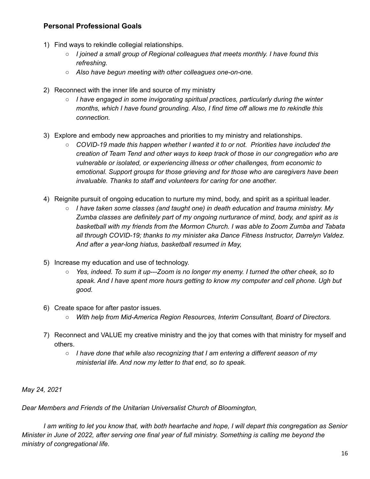#### **Personal Professional Goals**

- 1) Find ways to rekindle collegial relationships.
	- *I joined a small group of Regional colleagues that meets monthly. I have found this refreshing.*
	- *○ Also have begun meeting with other colleagues one-on-one.*
- 2) Reconnect with the inner life and source of my ministry
	- *○ I have engaged in some invigorating spiritual practices, particularly during the winter months, which I have found grounding. Also, I find time off allows me to rekindle this connection.*
- 3) Explore and embody new approaches and priorities to my ministry and relationships.
	- *○ COVID-19 made this happen whether I wanted it to or not. Priorities have included the creation of Team Tend and other ways to keep track of those in our congregation who are vulnerable or isolated, or experiencing illness or other challenges, from economic to emotional. Support groups for those grieving and for those who are caregivers have been invaluable. Thanks to staff and volunteers for caring for one another.*
- 4) Reignite pursuit of ongoing education to nurture my mind, body, and spirit as a spiritual leader.
	- *○ I have taken some classes (and taught one) in death education and trauma ministry. My Zumba classes are definitely part of my ongoing nurturance of mind, body, and spirit as is basketball with my friends from the Mormon Church. I was able to Zoom Zumba and Tabata all through COVID-19; thanks to my minister aka Dance Fitness Instructor, Darrelyn Valdez. And after a year-long hiatus, basketball resumed in May,*
- 5) Increase my education and use of technology.
	- *○ Yes, indeed. To sum it up---Zoom is no longer my enemy. I turned the other cheek, so to speak. And I have spent more hours getting to know my computer and cell phone. Ugh but good.*
- 6) Create space for after pastor issues.
	- *○ With help from Mid-America Region Resources, Interim Consultant, Board of Directors.*
- 7) Reconnect and VALUE my creative ministry and the joy that comes with that ministry for myself and others.
	- *I have done that while also recognizing that I am entering a different season of my ministerial life. And now my letter to that end, so to speak.*

*May 24, 2021*

*Dear Members and Friends of the Unitarian Universalist Church of Bloomington,*

I am writing to let you know that, with both heartache and hope, I will depart this congregation as Senior Minister in June of 2022, after serving one final year of full ministry. Something is calling me beyond the *ministry of congregational life.*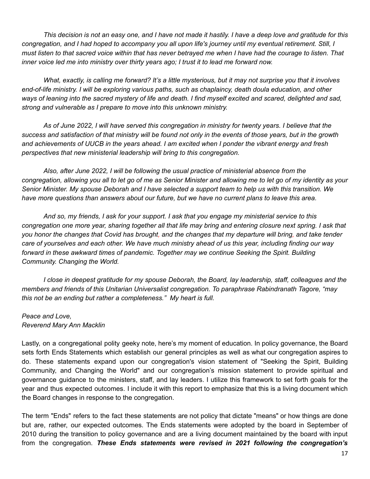This decision is not an easy one, and I have not made it hastily. I have a deep love and gratitude for this congregation, and I had hoped to accompany you all upon life's journey until my eventual retirement. Still, I must listen to that sacred voice within that has never betrayed me when I have had the courage to listen. That *inner voice led me into ministry over thirty years ago; I trust it to lead me forward now.*

What, exactly, is calling me forward? It's a little mysterious, but it may not surprise you that it involves *end-of-life ministry. I will be exploring various paths, such as chaplaincy, death doula education, and other* ways of leaning into the sacred mystery of life and death. I find myself excited and scared, delighted and sad, *strong and vulnerable as I prepare to move into this unknown ministry.*

As of June 2022, I will have served this congregation in ministry for twenty years. I believe that the success and satisfaction of that ministry will be found not only in the events of those years, but in the growth and achievements of UUCB in the years ahead. I am excited when I ponder the vibrant energy and fresh *perspectives that new ministerial leadership will bring to this congregation.*

*Also, after June 2022, I will be following the usual practice of ministerial absence from the* congregation, allowing you all to let go of me as Senior Minister and allowing me to let go of my identity as your Senior Minister. My spouse Deborah and I have selected a support team to help us with this transition. We have more questions than answers about our future, but we have no current plans to leave this area.

And so, my friends, I ask for your support. I ask that you engage my ministerial service to this congregation one more year, sharing together all that life may bring and entering closure next spring. I ask that you honor the changes that Covid has brought, and the changes that my departure will bring, and take tender care of yourselves and each other. We have much ministry ahead of us this year, including finding our way *forward in these awkward times of pandemic. Together may we continue Seeking the Spirit. Building Community. Changing the World.*

*I close in deepest gratitude for my spouse Deborah, the Board, lay leadership, staff, colleagues and the members and friends of this Unitarian Universalist congregation. To paraphrase Rabindranath Tagore, "may this not be an ending but rather a completeness." My heart is full.*

#### *Peace and Love, Reverend Mary Ann Macklin*

Lastly, on a congregational polity geeky note, here's my moment of education. In policy governance, the Board sets forth Ends Statements which establish our general principles as well as what our congregation aspires to do. These statements expand upon our congregation's vision statement of "Seeking the Spirit, Building Community, and Changing the World" and our congregation's mission statement to provide spiritual and governance guidance to the ministers, staff, and lay leaders. I utilize this framework to set forth goals for the year and thus expected outcomes. I include it with this report to emphasize that this is a living document which the Board changes in response to the congregation.

The term "Ends" refers to the fact these statements are not policy that dictate "means" or how things are done but are, rather, our expected outcomes. The Ends statements were adopted by the board in September of 2010 during the transition to policy governance and are a living document maintained by the board with input from the congregation. *These Ends statements were revised in 2021 following the congregation's*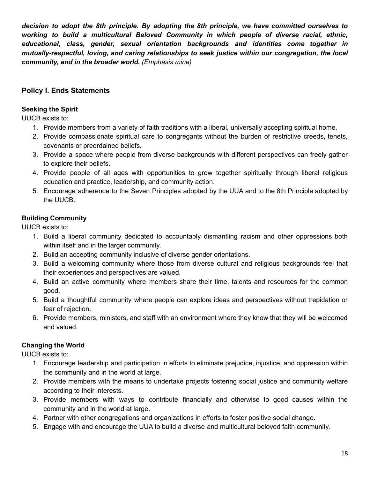*decision to adopt the 8th principle. By adopting the 8th principle, we have committed ourselves to working to build a multicultural Beloved Community in which people of diverse racial, ethnic, educational, class, gender, sexual orientation backgrounds and identities come together in mutually-respectful, loving, and caring relationships to seek justice within our congregation, the local community, and in the broader world. (Emphasis mine)*

#### **Policy I. Ends Statements**

#### **Seeking the Spirit**

UUCB exists to:

- 1. Provide members from a variety of faith traditions with a liberal, universally accepting spiritual home.
- 2. Provide compassionate spiritual care to congregants without the burden of restrictive creeds, tenets, covenants or preordained beliefs.
- 3. Provide a space where people from diverse backgrounds with different perspectives can freely gather to explore their beliefs.
- 4. Provide people of all ages with opportunities to grow together spiritually through liberal religious education and practice, leadership, and community action.
- 5. Encourage adherence to the Seven Principles adopted by the UUA and to the 8th Principle adopted by the UUCB.

#### **Building Community**

UUCB exists to:

- 1. Build a liberal community dedicated to accountably dismantling racism and other oppressions both within itself and in the larger community.
- 2. Build an accepting community inclusive of diverse gender orientations.
- 3. Build a welcoming community where those from diverse cultural and religious backgrounds feel that their experiences and perspectives are valued.
- 4. Build an active community where members share their time, talents and resources for the common good.
- 5. Build a thoughtful community where people can explore ideas and perspectives without trepidation or fear of rejection.
- 6. Provide members, ministers, and staff with an environment where they know that they will be welcomed and valued.

#### **Changing the World**

UUCB exists to:

- 1. Encourage leadership and participation in efforts to eliminate prejudice, injustice, and oppression within the community and in the world at large.
- 2. Provide members with the means to undertake projects fostering social justice and community welfare according to their interests.
- 3. Provide members with ways to contribute financially and otherwise to good causes within the community and in the world at large.
- 4. Partner with other congregations and organizations in efforts to foster positive social change.
- 5. Engage with and encourage the UUA to build a diverse and multicultural beloved faith community.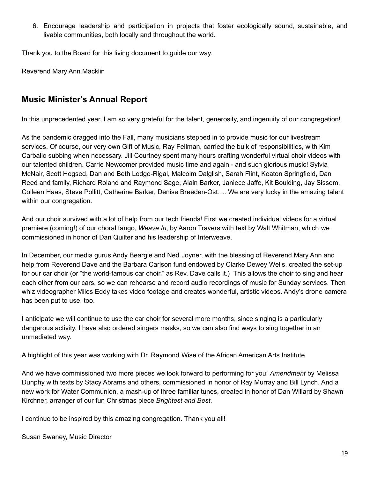6. Encourage leadership and participation in projects that foster ecologically sound, sustainable, and livable communities, both locally and throughout the world.

Thank you to the Board for this living document to guide our way.

Reverend Mary Ann Macklin

### <span id="page-18-0"></span>**Music Minister's Annual Report**

In this unprecedented year, I am so very grateful for the talent, generosity, and ingenuity of our congregation!

As the pandemic dragged into the Fall, many musicians stepped in to provide music for our livestream services. Of course, our very own Gift of Music, Ray Fellman, carried the bulk of responsibilities, with Kim Carballo subbing when necessary. Jill Courtney spent many hours crafting wonderful virtual choir videos with our talented children. Carrie Newcomer provided music time and again - and such glorious music! Sylvia McNair, Scott Hogsed, Dan and Beth Lodge-Rigal, Malcolm Dalglish, Sarah Flint, Keaton Springfield, Dan Reed and family, Richard Roland and Raymond Sage, Alain Barker, Janiece Jaffe, Kit Boulding, Jay Sissom, Colleen Haas, Steve Pollitt, Catherine Barker, Denise Breeden-Ost…. We are very lucky in the amazing talent within our congregation.

And our choir survived with a lot of help from our tech friends! First we created individual videos for a virtual premiere (coming!) of our choral tango, *Weave In*, by Aaron Travers with text by Walt Whitman, which we commissioned in honor of Dan Quilter and his leadership of Interweave.

In December, our media gurus Andy Beargie and Ned Joyner, with the blessing of Reverend Mary Ann and help from Reverend Dave and the Barbara Carlson fund endowed by Clarke Dewey Wells, created the set-up for our car choir (or "the world-famous car choir," as Rev. Dave calls it.) This allows the choir to sing and hear each other from our cars, so we can rehearse and record audio recordings of music for Sunday services. Then whiz videographer Miles Eddy takes video footage and creates wonderful, artistic videos. Andy's drone camera has been put to use, too.

I anticipate we will continue to use the car choir for several more months, since singing is a particularly dangerous activity. I have also ordered singers masks, so we can also find ways to sing together in an unmediated way.

A highlight of this year was working with Dr. Raymond Wise of the African American Arts Institute.

And we have commissioned two more pieces we look forward to performing for you: *Amendment* by Melissa Dunphy with texts by Stacy Abrams and others, commissioned in honor of Ray Murray and Bill Lynch. And a new work for Water Communion, a mash-up of three familiar tunes, created in honor of Dan Willard by Shawn Kirchner, arranger of our fun Christmas piece *Brightest and Best*.

I continue to be inspired by this amazing congregation. Thank you all!

Susan Swaney, Music Director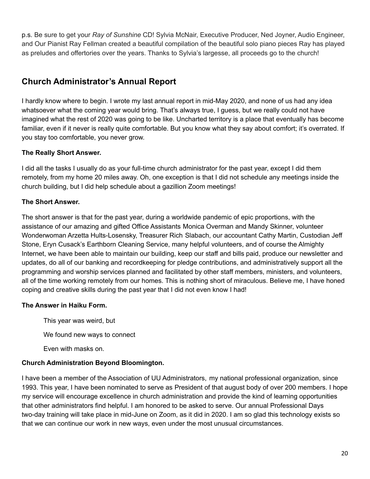p.s. Be sure to get your *Ray of Sunshine* CD! Sylvia McNair, Executive Producer, Ned Joyner, Audio Engineer, and Our Pianist Ray Fellman created a beautiful compilation of the beautiful solo piano pieces Ray has played as preludes and offertories over the years. Thanks to Sylvia's largesse, all proceeds go to the church!

### <span id="page-19-0"></span>**Church Administrator's Annual Report**

I hardly know where to begin. I wrote my last annual report in mid-May 2020, and none of us had any idea whatsoever what the coming year would bring. That's always true, I guess, but we really could not have imagined what the rest of 2020 was going to be like. Uncharted territory is a place that eventually has become familiar, even if it never is really quite comfortable. But you know what they say about comfort; it's overrated. If you stay too comfortable, you never grow.

#### **The Really Short Answer.**

I did all the tasks I usually do as your full-time church administrator for the past year, except I did them remotely, from my home 20 miles away. Oh, one exception is that I did not schedule any meetings inside the church building, but I did help schedule about a gazillion Zoom meetings!

#### **The Short Answer.**

The short answer is that for the past year, during a worldwide pandemic of epic proportions, with the assistance of our amazing and gifted Office Assistants Monica Overman and Mandy Skinner, volunteer Wonderwoman Arzetta Hults-Losensky, Treasurer Rich Slabach, our accountant Cathy Martin, Custodian Jeff Stone, Eryn Cusack's Earthborn Cleaning Service, many helpful volunteers, and of course the Almighty Internet, we have been able to maintain our building, keep our staff and bills paid, produce our newsletter and updates, do all of our banking and recordkeeping for pledge contributions, and administratively support all the programming and worship services planned and facilitated by other staff members, ministers, and volunteers, all of the time working remotely from our homes. This is nothing short of miraculous. Believe me, I have honed coping and creative skills during the past year that I did not even know I had!

#### **The Answer in Haiku Form.**

This year was weird, but We found new ways to connect Even with masks on.

#### **Church Administration Beyond Bloomington.**

I have been a member of the Association of UU Administrators, my national professional organization, since 1993. This year, I have been nominated to serve as President of that august body of over 200 members. I hope my service will encourage excellence in church administration and provide the kind of learning opportunities that other administrators find helpful. I am honored to be asked to serve. Our annual Professional Days two-day training will take place in mid-June on Zoom, as it did in 2020. I am so glad this technology exists so that we can continue our work in new ways, even under the most unusual circumstances.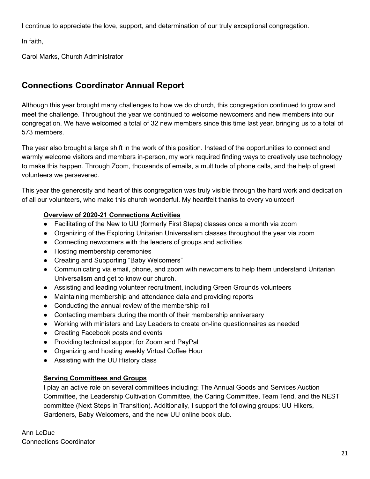I continue to appreciate the love, support, and determination of our truly exceptional congregation.

In faith,

Carol Marks, Church Administrator

## <span id="page-20-0"></span>**Connections Coordinator Annual Report**

Although this year brought many challenges to how we do church, this congregation continued to grow and meet the challenge. Throughout the year we continued to welcome newcomers and new members into our congregation. We have welcomed a total of 32 new members since this time last year, bringing us to a total of 573 members.

The year also brought a large shift in the work of this position. Instead of the opportunities to connect and warmly welcome visitors and members in-person, my work required finding ways to creatively use technology to make this happen. Through Zoom, thousands of emails, a multitude of phone calls, and the help of great volunteers we persevered.

This year the generosity and heart of this congregation was truly visible through the hard work and dedication of all our volunteers, who make this church wonderful. My heartfelt thanks to every volunteer!

#### **Overview of 2020-21 Connections Activities**

- Facilitating of the New to UU (formerly First Steps) classes once a month via zoom
- Organizing of the Exploring Unitarian Universalism classes throughout the year via zoom
- Connecting newcomers with the leaders of groups and activities
- Hosting membership ceremonies
- Creating and Supporting "Baby Welcomers"
- Communicating via email, phone, and zoom with newcomers to help them understand Unitarian Universalism and get to know our church.
- Assisting and leading volunteer recruitment, including Green Grounds volunteers
- Maintaining membership and attendance data and providing reports
- Conducting the annual review of the membership roll
- Contacting members during the month of their membership anniversary
- Working with ministers and Lay Leaders to create on-line questionnaires as needed
- Creating Facebook posts and events
- Providing technical support for Zoom and PayPal
- Organizing and hosting weekly Virtual Coffee Hour
- Assisting with the UU History class

#### **Serving Committees and Groups**

I play an active role on several committees including: The Annual Goods and Services Auction Committee, the Leadership Cultivation Committee, the Caring Committee, Team Tend, and the NEST committee (Next Steps in Transition). Additionally, I support the following groups: UU Hikers, Gardeners, Baby Welcomers, and the new UU online book club.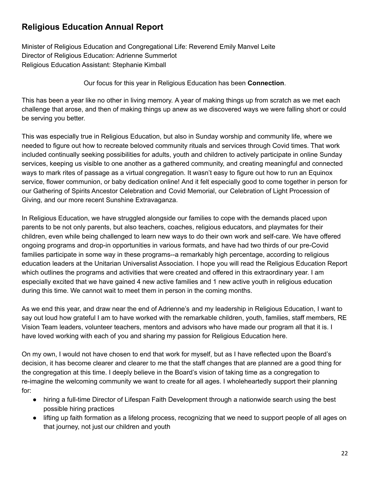### <span id="page-21-0"></span>**Religious Education Annual Report**

Minister of Religious Education and Congregational Life: Reverend Emily Manvel Leite Director of Religious Education: Adrienne Summerlot Religious Education Assistant: Stephanie Kimball

Our focus for this year in Religious Education has been **Connection**.

This has been a year like no other in living memory. A year of making things up from scratch as we met each challenge that arose, and then of making things up anew as we discovered ways we were falling short or could be serving you better.

This was especially true in Religious Education, but also in Sunday worship and community life, where we needed to figure out how to recreate beloved community rituals and services through Covid times. That work included continually seeking possibilities for adults, youth and children to actively participate in online Sunday services, keeping us visible to one another as a gathered community, and creating meaningful and connected ways to mark rites of passage as a virtual congregation. It wasn't easy to figure out how to run an Equinox service, flower communion, or baby dedication online! And it felt especially good to come together in person for our Gathering of Spirits Ancestor Celebration and Covid Memorial, our Celebration of Light Procession of Giving, and our more recent Sunshine Extravaganza.

In Religious Education, we have struggled alongside our families to cope with the demands placed upon parents to be not only parents, but also teachers, coaches, religious educators, and playmates for their children, even while being challenged to learn new ways to do their own work and self-care. We have offered ongoing programs and drop-in opportunities in various formats, and have had two thirds of our pre-Covid families participate in some way in these programs--a remarkably high percentage, according to religious education leaders at the Unitarian Universalist Association. I hope you will read the Religious Education Report which outlines the programs and activities that were created and offered in this extraordinary year. I am especially excited that we have gained 4 new active families and 1 new active youth in religious education during this time. We cannot wait to meet them in person in the coming months.

As we end this year, and draw near the end of Adrienne's and my leadership in Religious Education, I want to say out loud how grateful I am to have worked with the remarkable children, youth, families, staff members, RE Vision Team leaders, volunteer teachers, mentors and advisors who have made our program all that it is. I have loved working with each of you and sharing my passion for Religious Education here.

On my own, I would not have chosen to end that work for myself, but as I have reflected upon the Board's decision, it has become clearer and clearer to me that the staff changes that are planned are a good thing for the congregation at this time. I deeply believe in the Board's vision of taking time as a congregation to re-imagine the welcoming community we want to create for all ages. I wholeheartedly support their planning for:

- hiring a full-time Director of Lifespan Faith Development through a nationwide search using the best possible hiring practices
- lifting up faith formation as a lifelong process, recognizing that we need to support people of all ages on that journey, not just our children and youth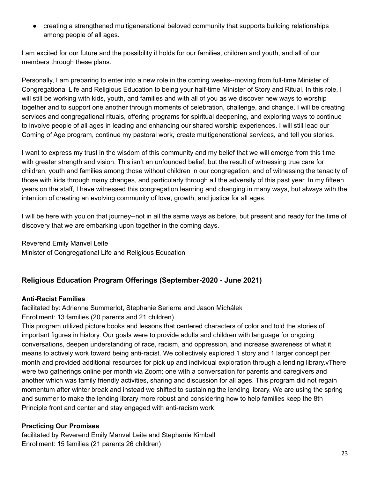• creating a strengthened multigenerational beloved community that supports building relationships among people of all ages.

I am excited for our future and the possibility it holds for our families, children and youth, and all of our members through these plans.

Personally, I am preparing to enter into a new role in the coming weeks--moving from full-time Minister of Congregational Life and Religious Education to being your half-time Minister of Story and Ritual. In this role, I will still be working with kids, youth, and families and with all of you as we discover new ways to worship together and to support one another through moments of celebration, challenge, and change. I will be creating services and congregational rituals, offering programs for spiritual deepening, and exploring ways to continue to involve people of all ages in leading and enhancing our shared worship experiences. I will still lead our Coming of Age program, continue my pastoral work, create multigenerational services, and tell you stories.

I want to express my trust in the wisdom of this community and my belief that we will emerge from this time with greater strength and vision. This isn't an unfounded belief, but the result of witnessing true care for children, youth and families among those without children in our congregation, and of witnessing the tenacity of those with kids through many changes, and particularly through all the adversity of this past year. In my fifteen years on the staff, I have witnessed this congregation learning and changing in many ways, but always with the intention of creating an evolving community of love, growth, and justice for all ages.

I will be here with you on that journey--not in all the same ways as before, but present and ready for the time of discovery that we are embarking upon together in the coming days.

Reverend Emily Manvel Leite Minister of Congregational Life and Religious Education

#### **Religious Education Program Offerings (September-2020 - June 2021)**

#### **Anti-Racist Families**

facilitated by: Adrienne Summerlot, Stephanie Serierre and Jason [Michálek](https://www.facebook.com/JasonRelentlessly?__cft__[0]=AZUOirJSONrbWMMW24IwE-Q-Kc8pf5j25Mn30lT6xWzTsD-lO6p56GvbFWFi5NbJgFrYqFvOCy9qAkE6ztOIivQJqZqrJIcAQlad6N4vSWn2j_KM5K2L9AlSXioiU2pePSo&__tn__=-UC%2CP-R) Enrollment: 13 families (20 parents and 21 children)

This program utilized picture books and lessons that centered characters of color and told the stories of important figures in history. Our goals were to provide adults and children with language for ongoing conversations, deepen understanding of race, racism, and oppression, and increase awareness of what it means to actively work toward being anti-racist. We collectively explored 1 story and 1 larger concept per month and provided additional resources for pick up and individual exploration through a lending library.vThere were two gatherings online per month via Zoom: one with a conversation for parents and caregivers and another which was family friendly activities, sharing and discussion for all ages. This program did not regain momentum after winter break and instead we shifted to sustaining the lending library. We are using the spring and summer to make the lending library more robust and considering how to help families keep the 8th Principle front and center and stay engaged with anti-racism work.

#### **Practicing Our Promises**

facilitated by Reverend Emily Manvel Leite and Stephanie Kimball Enrollment: 15 families (21 parents 26 children)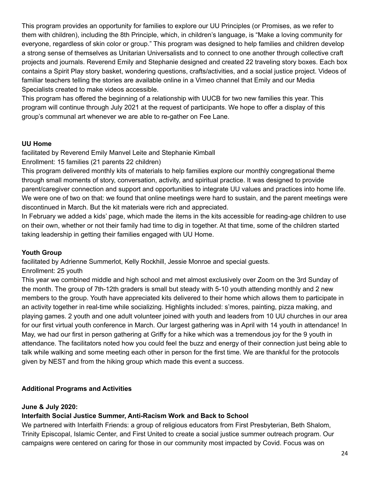This program provides an opportunity for families to explore our UU Principles (or Promises, as we refer to them with children), including the 8th Principle, which, in children's language, is "Make a loving community for everyone, regardless of skin color or group." This program was designed to help families and children develop a strong sense of themselves as Unitarian Universalists and to connect to one another through collective craft projects and journals. Reverend Emily and Stephanie designed and created 22 traveling story boxes. Each box contains a Spirit Play story basket, wondering questions, crafts/activities, and a social justice project. Videos of familiar teachers telling the stories are available online in a Vimeo channel that Emily and our Media Specialists created to make videos accessible.

This program has offered the beginning of a relationship with UUCB for two new families this year. This program will continue through July 2021 at the request of participants. We hope to offer a display of this group's communal art whenever we are able to re-gather on Fee Lane.

#### **UU Home**

facilitated by Reverend Emily Manvel Leite and Stephanie Kimball

Enrollment: 15 families (21 parents 22 children)

This program delivered monthly kits of materials to help families explore our monthly congregational theme through small moments of story, conversation, activity, and spiritual practice. It was designed to provide parent/caregiver connection and support and opportunities to integrate UU values and practices into home life. We were one of two on that: we found that online meetings were hard to sustain, and the parent meetings were discontinued in March. But the kit materials were rich and appreciated.

In February we added a kids' page, which made the items in the kits accessible for reading-age children to use on their own, whether or not their family had time to dig in together. At that time, some of the children started taking leadership in getting their families engaged with UU Home.

#### **Youth Group**

facilitated by Adrienne Summerlot, Kelly Rockhill, Jessie Monroe and special guests.

#### Enrollment: 25 youth

This year we combined middle and high school and met almost exclusively over Zoom on the 3rd Sunday of the month. The group of 7th-12th graders is small but steady with 5-10 youth attending monthly and 2 new members to the group. Youth have appreciated kits delivered to their home which allows them to participate in an activity together in real-time while socializing. Highlights included: s'mores, painting, pizza making, and playing games. 2 youth and one adult volunteer joined with youth and leaders from 10 UU churches in our area for our first virtual youth conference in March. Our largest gathering was in April with 14 youth in attendance! In May, we had our first in person gathering at Griffy for a hike which was a tremendous joy for the 9 youth in attendance. The facilitators noted how you could feel the buzz and energy of their connection just being able to talk while walking and some meeting each other in person for the first time. We are thankful for the protocols given by NEST and from the hiking group which made this event a success.

#### **Additional Programs and Activities**

#### **June & July 2020:**

#### **Interfaith Social Justice Summer, Anti-Racism Work and Back to School**

We partnered with Interfaith Friends: a group of religious educators from First Presbyterian, Beth Shalom, Trinity Episcopal, Islamic Center, and First United to create a social justice summer outreach program. Our campaigns were centered on caring for those in our community most impacted by Covid. Focus was on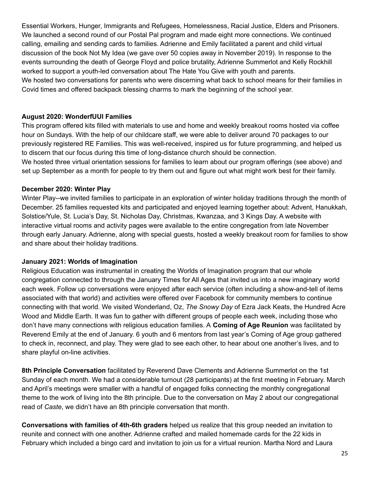Essential Workers, Hunger, Immigrants and Refugees, Homelessness, Racial Justice, Elders and Prisoners. We launched a second round of our Postal Pal program and made eight more connections. We continued calling, emailing and sending cards to families. Adrienne and Emily facilitated a parent and child virtual discussion of the book Not My Idea (we gave over 50 copies away in November 2019). In response to the events surrounding the death of George Floyd and police brutality, Adrienne Summerlot and Kelly Rockhill worked to support a youth-led conversation about The Hate You Give with youth and parents. We hosted two conversations for parents who were discerning what back to school means for their families in Covid times and offered backpack blessing charms to mark the beginning of the school year.

#### **August 2020: WonderfUUl Families**

This program offered kits filled with materials to use and home and weekly breakout rooms hosted via coffee hour on Sundays. With the help of our childcare staff, we were able to deliver around 70 packages to our previously registered RE Families. This was well-received, inspired us for future programming, and helped us to discern that our focus during this time of long-distance church should be connection.

We hosted three virtual orientation sessions for families to learn about our program offerings (see above) and set up September as a month for people to try them out and figure out what might work best for their family.

#### **December 2020: Winter Play**

Winter Play--we invited families to participate in an exploration of winter holiday traditions through the month of December. 25 families requested kits and participated and enjoyed learning together about: Advent, Hanukkah, Solstice/Yule, St. Lucia's Day, St. Nicholas Day, Christmas, Kwanzaa, and 3 Kings Day. A website with interactive virtual rooms and activity pages were available to the entire congregation from late November through early January. Adrienne, along with special guests, hosted a weekly breakout room for families to show and share about their holiday traditions.

#### **January 2021: Worlds of Imagination**

Religious Education was instrumental in creating the Worlds of Imagination program that our whole congregation connected to through the January Times for All Ages that invited us into a new imaginary world each week. Follow up conversations were enjoyed after each service (often including a show-and-tell of items associated with that world) and activities were offered over Facebook for community members to continue connecting with that world. We visited Wonderland, Oz, *The Snowy Day* of Ezra Jack Keats, the Hundred Acre Wood and Middle Earth. It was fun to gather with different groups of people each week, including those who don't have many connections with religious education families. A **Coming of Age Reunion** was facilitated by Reverend Emily at the end of January. 6 youth and 6 mentors from last year's Coming of Age group gathered to check in, reconnect, and play. They were glad to see each other, to hear about one another's lives, and to share playful on-line activities.

**8th Principle Conversation** facilitated by Reverend Dave Clements and Adrienne Summerlot on the 1st Sunday of each month. We had a considerable turnout (28 participants) at the first meeting in February. March and April's meetings were smaller with a handful of engaged folks connecting the monthly congregational theme to the work of living into the 8th principle. Due to the conversation on May 2 about our congregational read of *Caste*, we didn't have an 8th principle conversation that month.

**Conversations with families of 4th-6th graders** helped us realize that this group needed an invitation to reunite and connect with one another. Adrienne crafted and mailed homemade cards for the 22 kids in February which included a bingo card and invitation to join us for a virtual reunion. Martha Nord and Laura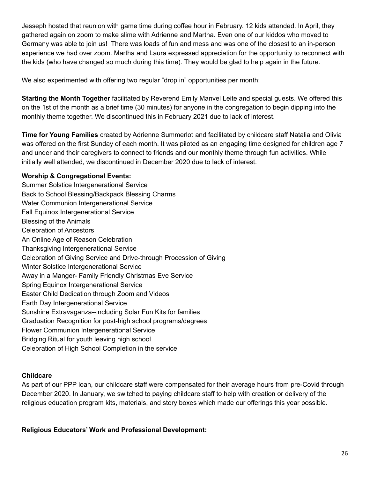Jesseph hosted that reunion with game time during coffee hour in February. 12 kids attended. In April, they gathered again on zoom to make slime with Adrienne and Martha. Even one of our kiddos who moved to Germany was able to join us! There was loads of fun and mess and was one of the closest to an in-person experience we had over zoom. Martha and Laura expressed appreciation for the opportunity to reconnect with the kids (who have changed so much during this time). They would be glad to help again in the future.

We also experimented with offering two regular "drop in" opportunities per month:

**Starting the Month Together** facilitated by Reverend Emily Manvel Leite and special guests. We offered this on the 1st of the month as a brief time (30 minutes) for anyone in the congregation to begin dipping into the monthly theme together. We discontinued this in February 2021 due to lack of interest.

**Time for Young Families** created by Adrienne Summerlot and facilitated by childcare staff Natalia and Olivia was offered on the first Sunday of each month. It was piloted as an engaging time designed for children age 7 and under and their caregivers to connect to friends and our monthly theme through fun activities. While initially well attended, we discontinued in December 2020 due to lack of interest.

#### **Worship & Congregational Events:**

Summer Solstice Intergenerational Service Back to School Blessing/Backpack Blessing Charms Water Communion Intergenerational Service Fall Equinox Intergenerational Service Blessing of the Animals Celebration of Ancestors An Online Age of Reason Celebration Thanksgiving Intergenerational Service Celebration of Giving Service and Drive-through Procession of Giving Winter Solstice Intergenerational Service Away in a Manger- Family Friendly Christmas Eve Service Spring Equinox Intergenerational Service Easter Child Dedication through Zoom and Videos Earth Day Intergenerational Service Sunshine Extravaganza--including Solar Fun Kits for families Graduation Recognition for post-high school programs/degrees Flower Communion Intergenerational Service Bridging Ritual for youth leaving high school Celebration of High School Completion in the service

#### **Childcare**

As part of our PPP loan, our childcare staff were compensated for their average hours from pre-Covid through December 2020. In January, we switched to paying childcare staff to help with creation or delivery of the religious education program kits, materials, and story boxes which made our offerings this year possible.

**Religious Educators' Work and Professional Development:**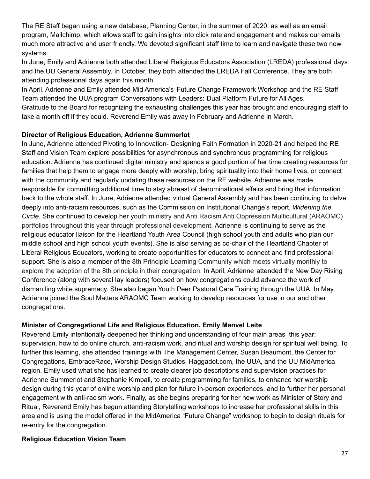The RE Staff began using a new database, Planning Center, in the summer of 2020, as well as an email program, Mailchimp, which allows staff to gain insights into click rate and engagement and makes our emails much more attractive and user friendly. We devoted significant staff time to learn and navigate these two new systems.

In June, Emily and Adrienne both attended Liberal Religious Educators Association (LREDA) professional days and the UU General Assembly. In October, they both attended the LREDA Fall Conference. They are both attending professional days again this month.

In April, Adrienne and Emily attended Mid America's Future Change Framework Workshop and the RE Staff Team attended the UUA program Conversations with Leaders: Dual Platform Future for All Ages. Gratitude to the Board for recognizing the exhausting challenges this year has brought and encouraging staff to take a month off if they could. Reverend Emily was away in February and Adrienne in March.

#### **Director of Religious Education, Adrienne Summerlot**

In June, Adrienne attended Pivoting to Innovation- Designing Faith Formation in 2020-21 and helped the RE Staff and Vision Team explore possibilities for asynchronous and synchronous programming for religious education. Adrienne has continued digital ministry and spends a good portion of her time creating resources for families that help them to engage more deeply with worship, bring spirituality into their home lives, or connect with the community and regularly updating these resources on the RE website. Adrienne was made responsible for committing additional time to stay abreast of denominational affairs and bring that information back to the whole staff. In June, Adrienne attended virtual General Assembly and has been continuing to delve deeply into anti-racism resources, such as the Commission on Institutional Change's report, *Widening the Circle.* She continued to develop her youth ministry and Anti Racism Anti Oppression Multicultural (ARAOMC) portfolios throughout this year through professional development. Adrienne is continuing to serve as the religious educator liaison for the Heartland Youth Area Council (high school youth and adults who plan our middle school and high school youth events). She is also serving as co-chair of the Heartland Chapter of Liberal Religious Educators, working to create opportunities for educators to connect and find professional support. She is also a member of the 8th Principle Learning Community which meets virtually monthly to explore the adoption of the 8th principle in their congregation. In April, Adrienne attended the New Day Rising Conference (along with several lay leaders) focused on how congregations could advance the work of dismantling white supremacy. She also began Youth Peer Pastoral Care Training through the UUA. In May, Adrienne joined the Soul Matters ARAOMC Team working to develop resources for use in our and other congregations.

#### **Minister of Congregational Life and Religious Education, Emily Manvel Leite**

Reverend Emily intentionally deepened her thinking and understanding of four main areas this year: supervision, how to do online church, anti-racism work, and ritual and worship design for spiritual well being. To further this learning, she attended trainings with The Management Center, Susan Beaumont, the Center for Congregations, EmbraceRace, Worship Design Studios, Haggadot.com, the UUA, and the UU MidAmerica region. Emily used what she has learned to create clearer job descriptions and supervision practices for Adrienne Summerlot and Stephanie Kimball, to create programming for families, to enhance her worship design during this year of online worship and plan for future in-person experiences, and to further her personal engagement with anti-racism work. Finally, as she begins preparing for her new work as Minister of Story and Ritual, Reverend Emily has begun attending Storytelling workshops to increase her professional skills in this area and is using the model offered in the MidAmerica "Future Change" workshop to begin to design rituals for re-entry for the congregation.

#### **Religious Education Vision Team**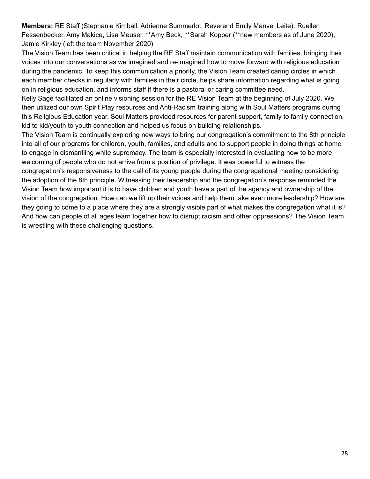**Members:** RE Staff (Stephanie Kimball, Adrienne Summerlot, Reverend Emily Manvel Leite), Ruellen Fessenbecker, Amy Makice, Lisa Meuser, \*\*Amy Beck, \*\*Sarah Kopper (\*\*new members as of June 2020), Jamie Kirkley (left the team November 2020)

The Vision Team has been critical in helping the RE Staff maintain communication with families, bringing their voices into our conversations as we imagined and re-imagined how to move forward with religious education during the pandemic. To keep this communication a priority, the Vision Team created caring circles in which each member checks in regularly with families in their circle, helps share information regarding what is going on in religious education, and informs staff if there is a pastoral or caring committee need.

Kelly Sage facilitated an online visioning session for the RE Vision Team at the beginning of July 2020. We then utilized our own Spirit Play resources and Anti-Racism training along with Soul Matters programs during this Religious Education year. Soul Matters provided resources for parent support, family to family connection, kid to kid/youth to youth connection and helped us focus on building relationships.

The Vision Team is continually exploring new ways to bring our congregation's commitment to the 8th principle into all of our programs for children, youth, families, and adults and to support people in doing things at home to engage in dismantling white supremacy. The team is especially interested in evaluating how to be more welcoming of people who do not arrive from a position of privilege. It was powerful to witness the congregation's responsiveness to the call of its young people during the congregational meeting considering the adoption of the 8th principle. Witnessing their leadership and the congregation's response reminded the Vision Team how important it is to have children and youth have a part of the agency and ownership of the vision of the congregation. How can we lift up their voices and help them take even more leadership? How are they going to come to a place where they are a strongly visible part of what makes the congregation what it is? And how can people of all ages learn together how to disrupt racism and other oppressions? The Vision Team is wrestling with these challenging questions.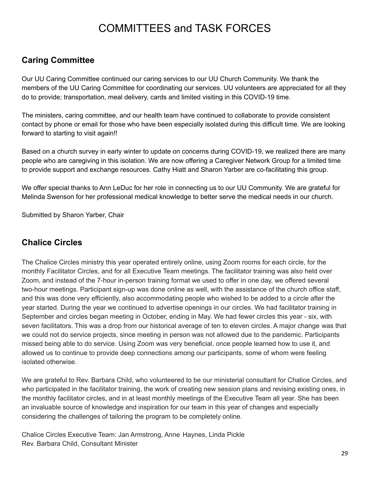# COMMITTEES and TASK FORCES

### <span id="page-28-0"></span>**Caring Committee**

Our UU Caring Committee continued our caring services to our UU Church Community. We thank the members of the UU Caring Committee for coordinating our services. UU volunteers are appreciated for all they do to provide; transportation, meal delivery, cards and limited visiting in this COVID-19 time.

The ministers, caring committee, and our health team have continued to collaborate to provide consistent contact by phone or email for those who have been especially isolated during this difficult time. We are looking forward to starting to visit again!!

Based on a church survey in early winter to update on concerns during COVID-19, we realized there are many people who are caregiving in this isolation. We are now offering a Caregiver Network Group for a limited time to provide support and exchange resources. Cathy Hiatt and Sharon Yarber are co-facilitating this group.

We offer special thanks to Ann LeDuc for her role in connecting us to our UU Community. We are grateful for Melinda Swenson for her professional medical knowledge to better serve the medical needs in our church.

Submitted by Sharon Yarber, Chair

### <span id="page-28-1"></span>**Chalice Circles**

The Chalice Circles ministry this year operated entirely online, using Zoom rooms for each circle, for the monthly Facilitator Circles, and for all Executive Team meetings. The facilitator training was also held over Zoom, and instead of the 7-hour in-person training format we used to offer in one day, we offered several two-hour meetings. Participant sign-up was done online as well, with the assistance of the church office staff, and this was done very efficiently, also accommodating people who wished to be added to a circle after the year started. During the year we continued to advertise openings in our circles. We had facilitator training in September and circles began meeting in October, ending in May. We had fewer circles this year - six, with seven facilitators. This was a drop from our historical average of ten to eleven circles. A major change was that we could not do service projects, since meeting in person was not allowed due to the pandemic. Participants missed being able to do service. Using Zoom was very beneficial, once people learned how to use it, and allowed us to continue to provide deep connections among our participants, some of whom were feeling isolated otherwise.

We are grateful to Rev. Barbara Child, who volunteered to be our ministerial consultant for Chalice Circles, and who participated in the facilitator training, the work of creating new session plans and revising existing ones, in the monthly facilitator circles, and in at least monthly meetings of the Executive Team all year. She has been an invaluable source of knowledge and inspiration for our team in this year of changes and especially considering the challenges of tailoring the program to be completely online.

Chalice Circles Executive Team: Jan Armstrong, Anne Haynes, Linda Pickle Rev. Barbara Child, Consultant Minister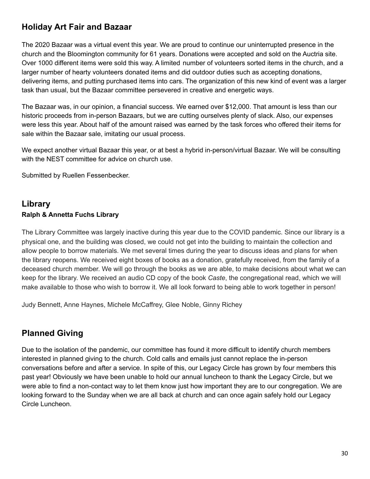### <span id="page-29-0"></span>**Holiday Art Fair and Bazaar**

The 2020 Bazaar was a virtual event this year. We are proud to continue our uninterrupted presence in the church and the Bloomington community for 61 years. Donations were accepted and sold on the Auctria site. Over 1000 different items were sold this way. A limited number of volunteers sorted items in the church, and a larger number of hearty volunteers donated items and did outdoor duties such as accepting donations, delivering items, and putting purchased items into cars. The organization of this new kind of event was a larger task than usual, but the Bazaar committee persevered in creative and energetic ways.

The Bazaar was, in our opinion, a financial success. We earned over \$12,000. That amount is less than our historic proceeds from in-person Bazaars, but we are cutting ourselves plenty of slack. Also, our expenses were less this year. About half of the amount raised was earned by the task forces who offered their items for sale within the Bazaar sale, imitating our usual process.

We expect another virtual Bazaar this year, or at best a hybrid in-person/virtual Bazaar. We will be consulting with the NEST committee for advice on church use.

Submitted by Ruellen Fessenbecker.

### <span id="page-29-1"></span>**Library Ralph & Annetta Fuchs Library**

The Library Committee was largely inactive during this year due to the COVID pandemic. Since our library is a physical one, and the building was closed, we could not get into the building to maintain the collection and allow people to borrow materials. We met several times during the year to discuss ideas and plans for when the library reopens. We received eight boxes of books as a donation, gratefully received, from the family of a deceased church member. We will go through the books as we are able, to make decisions about what we can keep for the library. We received an audio CD copy of the book *Caste*, the congregational read, which we will make available to those who wish to borrow it. We all look forward to being able to work together in person!

Judy Bennett, Anne Haynes, Michele McCaffrey, Glee Noble, Ginny Richey

### <span id="page-29-2"></span>**Planned Giving**

Due to the isolation of the pandemic, our committee has found it more difficult to identify church members interested in planned giving to the church. Cold calls and emails just cannot replace the in-person conversations before and after a service. In spite of this, our Legacy Circle has grown by four members this past year! Obviously we have been unable to hold our annual luncheon to thank the Legacy Circle, but we were able to find a non-contact way to let them know just how important they are to our congregation. We are looking forward to the Sunday when we are all back at church and can once again safely hold our Legacy Circle Luncheon.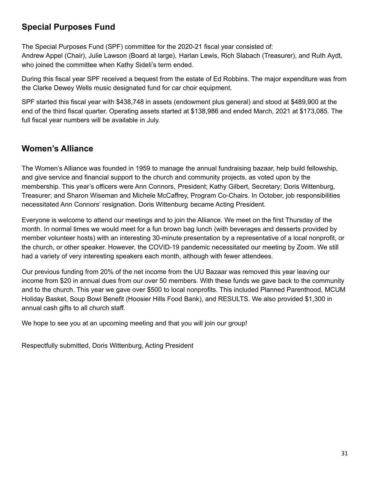### <span id="page-30-0"></span>**Special Purposes Fund**

The Special Purposes Fund (SPF) committee for the 2020-21 fiscal year consisted of: Andrew Appel (Chair), Julie Lawson (Board at large), Harlan Lewis, Rich Slabach (Treasurer), and Ruth Aydt, who joined the committee when Kathy Sideli's term ended.

During this fiscal year SPF received a bequest from the estate of Ed Robbins. The major expenditure was from the Clarke Dewey Wells music designated fund for car choir equipment.

SPF started this fiscal year with \$438,748 in assets (endowment plus general) and stood at \$489,900 at the end of the third fiscal quarter. Operating assets started at \$138,986 and ended March, 2021 at \$173,085. The full fiscal year numbers will be available in July.

### <span id="page-30-1"></span>**Women's Alliance**

The Women's Alliance was founded in 1959 to manage the annual fundraising bazaar, help build fellowship, and give service and financial support to the church and community projects, as voted upon by the membership. This year's officers were Ann Connors, President; Kathy Gilbert, Secretary; Doris Wittenburg, Treasurer; and Sharon Wiseman and Michele McCaffrey, Program Co-Chairs. In October, job responsibilities necessitated Ann Connors' resignation. Doris Wittenburg became Acting President.

Everyone is welcome to attend our meetings and to join the Alliance. We meet on the first Thursday of the month. In normal times we would meet for a fun brown bag lunch (with beverages and desserts provided by member volunteer hosts) with an interesting 30-minute presentation by a representative of a local nonprofit, or the church, or other speaker. However, the COVID-19 pandemic necessitated our meeting by Zoom. We still had a variety of very interesting speakers each month, although with fewer attendees.

Our previous funding from 20% of the net income from the UU Bazaar was removed this year leaving our income from \$20 in annual dues from our over 50 members. With these funds we gave back to the community and to the church. This year we gave over \$500 to local nonprofits. This included Planned Parenthood, MCUM Holiday Basket, Soup Bowl Benefit (Hoosier Hills Food Bank), and RESULTS. We also provided \$1,300 in annual cash gifts to all church staff.

We hope to see you at an upcoming meeting and that you will join our group!

Respectfully submitted, Doris Wittenburg, Acting President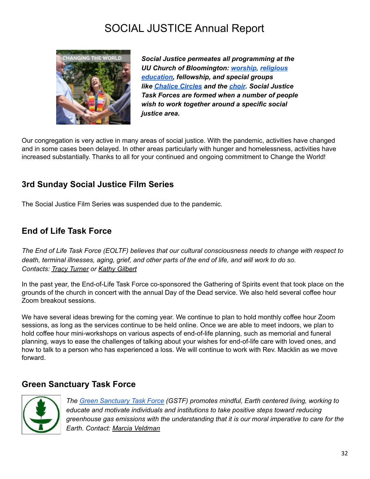# SOCIAL JUSTICE Annual Report

<span id="page-31-0"></span>

*Social Justice permeates all programming at the UU Church of Bloomington: [worship,](http://www.uubloomington.org/worship-services/) [religious](http://www.uubloomington.org/religious-education/re-for-children-youth/) [education,](http://www.uubloomington.org/religious-education/re-for-children-youth/) fellowship, and special groups like [Chalice](http://www.uubloomington.org/chalice-circle-meetings/) Circles and the [choir](http://www.uubloomington.org/worship-services/music-choir/). Social Justice Task Forces are formed when a number of people wish to work together around a specific social justice area.*

Our congregation is very active in many areas of social justice. With the pandemic, activities have changed and in some cases been delayed. In other areas particularly with hunger and homelessness, activities have increased substantially. Thanks to all for your continued and ongoing commitment to Change the World!

### <span id="page-31-1"></span>**3rd Sunday Social Justice Film Series**

The Social Justice Film Series was suspended due to the pandemic.

### <span id="page-31-2"></span>**End of Life Task Force**

The End of Life Task Force (EOLTF) believes that our cultural consciousness needs to change with respect to death, terminal illnesses, aging, grief, and other parts of the end of life, and will work to do so. *Contacts: Tracy [Turner](mailto:tzt@writearm.com) or Kathy [Gilbert](mailto:gilbertk@indiana.edu)*

In the past year, the End-of-Life Task Force co-sponsored the Gathering of Spirits event that took place on the grounds of the church in concert with the annual Day of the Dead service. We also held several coffee hour Zoom breakout sessions.

We have several ideas brewing for the coming year. We continue to plan to hold monthly coffee hour Zoom sessions, as long as the services continue to be held online. Once we are able to meet indoors, we plan to hold coffee hour mini-workshops on various aspects of end-of-life planning, such as memorial and funeral planning, ways to ease the challenges of talking about your wishes for end-of-life care with loved ones, and how to talk to a person who has experienced a loss. We will continue to work with Rev. Macklin as we move forward.

### <span id="page-31-3"></span>**Green Sanctuary Task Force**



*The Green [Sanctuary](http://www.uubloomington.org/social-justice/green-sanctuary/) Task Force (GSTF) promotes mindful, Earth centered living, working to educate and motivate individuals and institutions to take positive steps toward reducing greenhouse gas emissions with the understanding that it is our moral imperative to care for the Earth. Contact: Marcia [Veldman](mailto:marciaveldman@gmail.com)*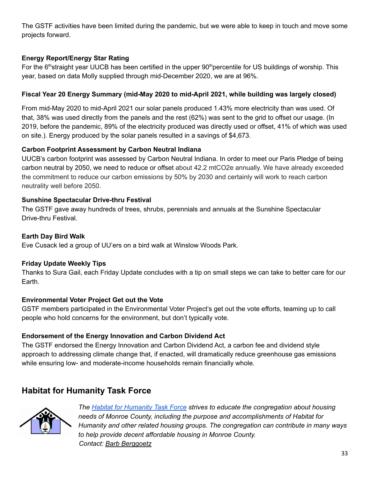The GSTF activities have been limited during the pandemic, but we were able to keep in touch and move some projects forward.

#### **Energy Report/Energy Star Rating**

For the 6<sup>th</sup>straight year UUCB has been certified in the upper 90<sup>th</sup>percentile for US buildings of worship. This year, based on data Molly supplied through mid-December 2020, we are at 96%.

#### **Fiscal Year 20 Energy Summary (mid-May 2020 to mid-April 2021, while building was largely closed)**

From mid-May 2020 to mid-April 2021 our solar panels produced 1.43% more electricity than was used. Of that, 38% was used directly from the panels and the rest (62%) was sent to the grid to offset our usage. (In 2019, before the pandemic, 89% of the electricity produced was directly used or offset, 41% of which was used on site.). Energy produced by the solar panels resulted in a savings of \$4,673.

#### **Carbon Footprint Assessment by Carbon Neutral Indiana**

UUCB's carbon footprint was assessed by Carbon Neutral Indiana. In order to meet our Paris Pledge of being carbon neutral by 2050, we need to reduce or offset about 42.2 mtCO2e annually. We have already exceeded the commitment to reduce our carbon emissions by 50% by 2030 and certainly will work to reach carbon neutrality well before 2050.

#### **Sunshine Spectacular Drive-thru Festival**

The GSTF gave away hundreds of trees, shrubs, perennials and annuals at the Sunshine Spectacular Drive-thru Festival.

#### **Earth Day Bird Walk**

Eve Cusack led a group of UU'ers on a bird walk at Winslow Woods Park.

#### **Friday Update Weekly Tips**

Thanks to Sura Gail, each Friday Update concludes with a tip on small steps we can take to better care for our Earth.

#### **Environmental Voter Project Get out the Vote**

GSTF members participated in the Environmental Voter Project's get out the vote efforts, teaming up to call people who hold concerns for the environment, but don't typically vote.

#### **Endorsement of the Energy Innovation and Carbon Dividend Act**

The GSTF endorsed the Energy Innovation and Carbon Dividend Act, a carbon fee and dividend style approach to addressing climate change that, if enacted, will dramatically reduce greenhouse gas emissions while ensuring low- and moderate-income households remain financially whole.

## <span id="page-32-0"></span>**Habitat for Humanity Task Force**



*The Habitat for [Humanity](http://www.uubloomington.org/social-justice/habitat-for-humanity-task-force/) Task Force strives to educate the congregation about housing needs of Monroe County, including the purpose and accomplishments of Habitat for Humanity and other related housing groups. The congregation can contribute in many ways to help provide decent affordable housing in Monroe County. Contact: Barb [Berggoetz](mailto:barbberg@bluemarble.net)*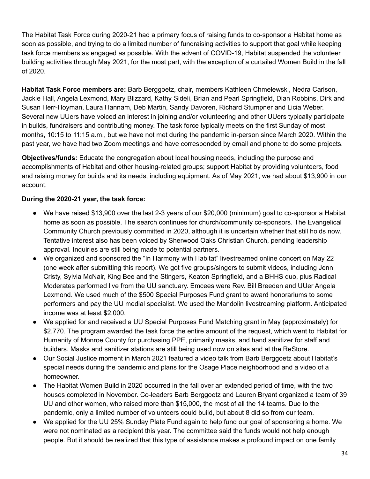The Habitat Task Force during 2020-21 had a primary focus of raising funds to co-sponsor a Habitat home as soon as possible, and trying to do a limited number of fundraising activities to support that goal while keeping task force members as engaged as possible. With the advent of COVID-19, Habitat suspended the volunteer building activities through May 2021, for the most part, with the exception of a curtailed Women Build in the fall of 2020.

**Habitat Task Force members are:** Barb Berggoetz, chair, members Kathleen Chmelewski, Nedra Carlson, Jackie Hall, Angela Lexmond, Mary Blizzard, Kathy Sideli, Brian and Pearl Springfield, Dian Robbins, Dirk and Susan Herr-Hoyman, Laura Hannam, Deb Martin, Sandy Davoren, Richard Stumpner and Licia Weber. Several new UUers have voiced an interest in joining and/or volunteering and other UUers typically participate in builds, fundraisers and contributing money. The task force typically meets on the first Sunday of most months, 10:15 to 11:15 a.m., but we have not met during the pandemic in-person since March 2020. Within the past year, we have had two Zoom meetings and have corresponded by email and phone to do some projects.

**Objectives/funds:** Educate the congregation about local housing needs, including the purpose and accomplishments of Habitat and other housing-related groups; support Habitat by providing volunteers, food and raising money for builds and its needs, including equipment. As of May 2021, we had about \$13,900 in our account.

#### **During the 2020-21 year, the task force:**

- We have raised \$13,900 over the last 2-3 years of our \$20,000 (minimum) goal to co-sponsor a Habitat home as soon as possible. The search continues for church/community co-sponsors. The Evangelical Community Church previously committed in 2020, although it is uncertain whether that still holds now. Tentative interest also has been voiced by Sherwood Oaks Christian Church, pending leadership approval. Inquiries are still being made to potential partners.
- We organized and sponsored the "In Harmony with Habitat" livestreamed online concert on May 22 (one week after submitting this report). We got five groups/singers to submit videos, including Jenn Cristy, Sylvia McNair, King Bee and the Stingers, Keaton Springfield, and a BHHS duo, plus Radical Moderates performed live from the UU sanctuary. Emcees were Rev. Bill Breeden and UUer Angela Lexmond. We used much of the \$500 Special Purposes Fund grant to award honorariums to some performers and pay the UU medial specialist. We used the Mandolin livestreaming platform. Anticipated income was at least \$2,000.
- We applied for and received a UU Special Purposes Fund Matching grant in May (approximately) for \$2,770. The program awarded the task force the entire amount of the request, which went to Habitat for Humanity of Monroe County for purchasing PPE, primarily masks, and hand sanitizer for staff and builders. Masks and sanitizer stations are still being used now on sites and at the ReStore.
- Our Social Justice moment in March 2021 featured a video talk from Barb Berggoetz about Habitat's special needs during the pandemic and plans for the Osage Place neighborhood and a video of a homeowner.
- The Habitat Women Build in 2020 occurred in the fall over an extended period of time, with the two houses completed in November. Co-leaders Barb Berggoetz and Lauren Bryant organized a team of 39 UU and other women, who raised more than \$15,000, the most of all the 14 teams. Due to the pandemic, only a limited number of volunteers could build, but about 8 did so from our team.
- We applied for the UU 25% Sunday Plate Fund again to help fund our goal of sponsoring a home. We were not nominated as a recipient this year. The committee said the funds would not help enough people. But it should be realized that this type of assistance makes a profound impact on one family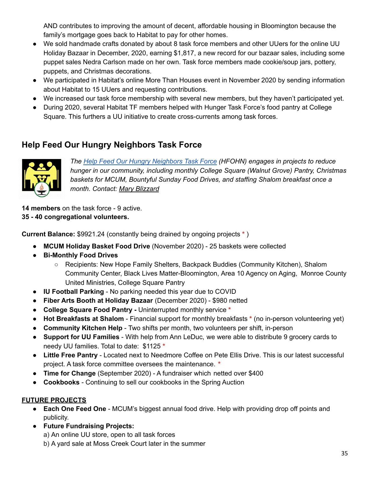AND contributes to improving the amount of decent, affordable housing in Bloomington because the family's mortgage goes back to Habitat to pay for other homes.

- We sold handmade crafts donated by about 8 task force members and other UUers for the online UU Holiday Bazaar in December, 2020, earning \$1,817, a new record for our bazaar sales, including some puppet sales Nedra Carlson made on her own. Task force members made cookie/soup jars, pottery, puppets, and Christmas decorations.
- We participated in Habitat's online More Than Houses event in November 2020 by sending information about Habitat to 15 UUers and requesting contributions.
- We increased our task force membership with several new members, but they haven't participated yet.
- During 2020, several Habitat TF members helped with Hunger Task Force's food pantry at College Square. This furthers a UU initiative to create cross-currents among task forces.

### <span id="page-34-0"></span>**Help Feed Our Hungry Neighbors Task Force**



*The Help Feed Our Hungry [Neighbors](http://www.uubloomington.org/social-justice/help-feed-our-hungry-neighbors-task-force/) Task Force (HFOHN) engages in projects to reduce hunger in our community, including monthly College Square (Walnut Grove) Pantry, Christmas baskets for MCUM, Bountyful Sunday Food Drives, and staffing Shalom breakfast once a month. Contact: Mary [Blizzard](mailto:maryblizzard6@gmail.com)*

**14 members** on the task force - 9 active. **35 - 40 congregational volunteers.**

**Current Balance:** \$9921.24 (constantly being drained by ongoing projects **\*** )

- **MCUM Holiday Basket Food Drive** (November 2020) 25 baskets were collected
- **Bi-Monthly Food Drives**
	- Recipients: New Hope Family Shelters, Backpack Buddies (Community Kitchen), Shalom Community Center, Black Lives Matter-Bloomington, Area 10 Agency on Aging, Monroe County United Ministries, College Square Pantry
- **IU Football Parking** No parking needed this year due to COVID
- **Fiber Arts Booth at Holiday Bazaar** (December 2020) \$980 netted
- **College Square Food Pantry -** Uninterrupted monthly service **\***
- **Hot Breakfasts at Shalom** Financial support for monthly breakfasts **\*** (no in-person volunteering yet)
- **Community Kitchen Help** Two shifts per month, two volunteers per shift, in-person
- **Support for UU Families** With help from Ann LeDuc, we were able to distribute 9 grocery cards to needy UU families. Total to date: \$1125 **\***
- **Little Free Pantry** Located next to Needmore Coffee on Pete Ellis Drive. This is our latest successful project. A task force committee oversees the maintenance. **\***
- **Time for Change** (September 2020) A fundraiser which netted over \$400
- **Cookbooks** Continuing to sell our cookbooks in the Spring Auction

#### **FUTURE PROJECTS**

- **Each One Feed One** MCUM's biggest annual food drive. Help with providing drop off points and publicity.
- **Future Fundraising Projects:**

a) An online UU store, open to all task forces

b) A yard sale at Moss Creek Court later in the summer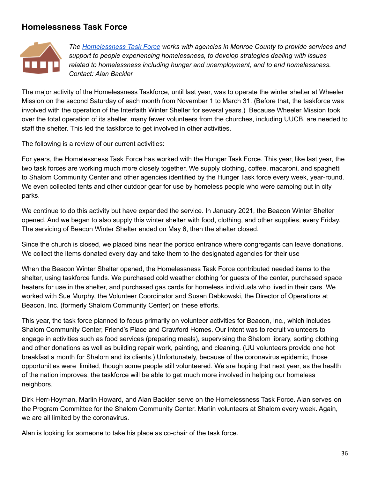### <span id="page-35-0"></span>**Homelessness Task Force**



*The [Homelessness](http://www.uubloomington.org/social-justice/homelessness-task-force/) Task Force works with agencies in Monroe County to provide services and support to people experiencing homelessness, to develop strategies dealing with issues related to homelessness including hunger and unemployment, and to end homelessness. Contact: Alan [Backler](mailto:abackler@aol.com)*

The major activity of the Homelessness Taskforce, until last year, was to operate the winter shelter at Wheeler Mission on the second Saturday of each month from November 1 to March 31. (Before that, the taskforce was involved with the operation of the Interfaith Winter Shelter for several years.) Because Wheeler Mission took over the total operation of its shelter, many fewer volunteers from the churches, including UUCB, are needed to staff the shelter. This led the taskforce to get involved in other activities.

The following is a review of our current activities:

For years, the Homelessness Task Force has worked with the Hunger Task Force. This year, like last year, the two task forces are working much more closely together. We supply clothing, coffee, macaroni, and spaghetti to Shalom Community Center and other agencies identified by the Hunger Task force every week, year-round. We even collected tents and other outdoor gear for use by homeless people who were camping out in city parks.

We continue to do this activity but have expanded the service. In January 2021, the Beacon Winter Shelter opened. And we began to also supply this winter shelter with food, clothing, and other supplies, every Friday. The servicing of Beacon Winter Shelter ended on May 6, then the shelter closed.

Since the church is closed, we placed bins near the portico entrance where congregants can leave donations. We collect the items donated every day and take them to the designated agencies for their use

When the Beacon Winter Shelter opened, the Homelessness Task Force contributed needed items to the shelter, using taskforce funds. We purchased cold weather clothing for guests of the center, purchased space heaters for use in the shelter, and purchased gas cards for homeless individuals who lived in their cars. We worked with Sue Murphy, the Volunteer Coordinator and Susan Dabkowski, the Director of Operations at Beacon, Inc. (formerly Shalom Community Center) on these efforts.

This year, the task force planned to focus primarily on volunteer activities for Beacon, Inc., which includes Shalom Community Center, Friend's Place and Crawford Homes. Our intent was to recruit volunteers to engage in activities such as food services (preparing meals), supervising the Shalom library, sorting clothing and other donations as well as building repair work, painting, and cleaning. (UU volunteers provide one hot breakfast a month for Shalom and its clients.) Unfortunately, because of the coronavirus epidemic, those opportunities were limited, though some people still volunteered. We are hoping that next year, as the health of the nation improves, the taskforce will be able to get much more involved in helping our homeless neighbors.

Dirk Herr-Hoyman, Marlin Howard, and Alan Backler serve on the Homelessness Task Force. Alan serves on the Program Committee for the Shalom Community Center. Marlin volunteers at Shalom every week. Again, we are all limited by the coronavirus.

Alan is looking for someone to take his place as co-chair of the task force.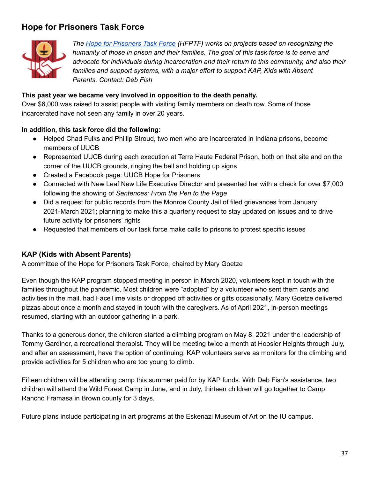### <span id="page-36-0"></span>**Hope for Prisoners Task Force**



*The Hope for [Prisoners](http://www.uubloomington.org/social-justice/hope-for-prisoners-task-force/) Task Force (HFPTF) works on projects based on recognizing the humanity of those in prison and their families. The goal of this task force is to serve and advocate for individuals during incarceration and their return to this community, and also their families and support systems, with a major effort to support KAP, Kids with Absent Parents. Contact: Deb Fish*

#### **This past year we became very involved in opposition to the death penalty.**

Over \$6,000 was raised to assist people with visiting family members on death row. Some of those incarcerated have not seen any family in over 20 years.

#### **In addition, this task force did the following:**

- Helped Chad Fulks and Phillip Stroud, two men who are incarcerated in Indiana prisons, become members of UUCB
- Represented UUCB during each execution at Terre Haute Federal Prison, both on that site and on the corner of the UUCB grounds, ringing the bell and holding up signs
- Created a Facebook page: UUCB Hope for Prisoners
- Connected with New Leaf New Life Executive Director and presented her with a check for over \$7,000 following the showing of *Sentences: From the Pen to the Page*
- Did a request for public records from the Monroe County Jail of filed grievances from January 2021-March 2021; planning to make this a quarterly request to stay updated on issues and to drive future activity for prisoners' rights
- Requested that members of our task force make calls to prisons to protest specific issues

#### **KAP (Kids with Absent Parents)**

A committee of the Hope for Prisoners Task Force, chaired by Mary Goetze

Even though the KAP program stopped meeting in person in March 2020, volunteers kept in touch with the families throughout the pandemic. Most children were "adopted" by a volunteer who sent them cards and activities in the mail, had FaceTime visits or dropped off activities or gifts occasionally. Mary Goetze delivered pizzas about once a month and stayed in touch with the caregivers. As of April 2021, in-person meetings resumed, starting with an outdoor gathering in a park.

Thanks to a generous donor, the children started a climbing program on May 8, 2021 under the leadership of Tommy Gardiner, a recreational therapist. They will be meeting twice a month at Hoosier Heights through July, and after an assessment, have the option of continuing. KAP volunteers serve as monitors for the climbing and provide activities for 5 children who are too young to climb.

Fifteen children will be attending camp this summer paid for by KAP funds. With Deb Fish's assistance, two children will attend the Wild Forest Camp in June, and in July, thirteen children will go together to Camp Rancho Framasa in Brown county for 3 days.

Future plans include participating in art programs at the Eskenazi Museum of Art on the IU campus.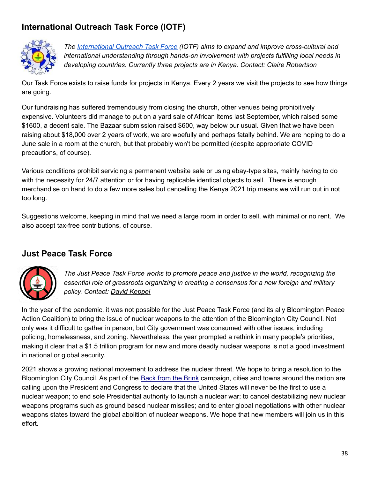## <span id="page-37-0"></span>**International Outreach Task Force (IOTF)**



*The [International](http://www.uubloomington.org/social-justice/international-outreach-task-force/) Outreach Task Force (IOTF) aims to expand and improve cross-cultural and international understanding through hands-on involvement with projects fulfilling local needs in developing countries. Currently three projects are in Kenya. Contact: Claire [Robertson](mailto:robertson.8@osu.ed)*

Our Task Force exists to raise funds for projects in Kenya. Every 2 years we visit the projects to see how things are going.

Our fundraising has suffered tremendously from closing the church, other venues being prohibitively expensive. Volunteers did manage to put on a yard sale of African items last September, which raised some \$1600, a decent sale. The Bazaar submission raised \$600, way below our usual. Given that we have been raising about \$18,000 over 2 years of work, we are woefully and perhaps fatally behind. We are hoping to do a June sale in a room at the church, but that probably won't be permitted (despite appropriate COVID precautions, of course).

Various conditions prohibit servicing a permanent website sale or using ebay-type sites, mainly having to do with the necessity for 24/7 attention or for having replicable identical objects to sell. There is enough merchandise on hand to do a few more sales but cancelling the Kenya 2021 trip means we will run out in not too long.

Suggestions welcome, keeping in mind that we need a large room in order to sell, with minimal or no rent. We also accept tax-free contributions, of course.

### <span id="page-37-1"></span>**Just Peace Task Force**



*The Just Peace Task Force works to promote peace and justice in the world, recognizing the essential role of grassroots organizing in creating a consensus for a new foreign and military policy. Contact: David [Keppel](mailto:keppel@sbcglobal.net)*

In the year of the pandemic, it was not possible for the Just Peace Task Force (and its ally Bloomington Peace Action Coalition) to bring the issue of nuclear weapons to the attention of the Bloomington City Council. Not only was it difficult to gather in person, but City government was consumed with other issues, including policing, homelessness, and zoning. Nevertheless, the year prompted a rethink in many people's priorities, making it clear that a \$1.5 trillion program for new and more deadly nuclear weapons is not a good investment in national or global security.

2021 shows a growing national movement to address the nuclear threat. We hope to bring a resolution to the Bloomington City Council. As part of the Back from the [Brink](https://preventnuclearwar.org/) campaign, cities and towns around the nation are calling upon the President and Congress to declare that the United States will never be the first to use a nuclear weapon; to end sole Presidential authority to launch a nuclear war; to cancel destabilizing new nuclear weapons programs such as ground based nuclear missiles; and to enter global negotiations with other nuclear weapons states toward the global abolition of nuclear weapons. We hope that new members will join us in this effort.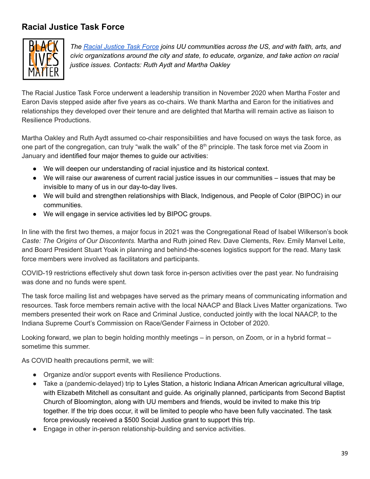## <span id="page-38-0"></span>**Racial Justice Task Force**



*The Racial [Justice](http://www.uubloomington.org/racial-justice-task-force/) Task Force joins UU communities across the US, and with faith, arts, and civic organizations around the city and state, to educate, organize, and take action on racial justice issues. Contacts: Ruth Aydt and Martha Oakley*

The Racial Justice Task Force underwent a leadership transition in November 2020 when Martha Foster and Earon Davis stepped aside after five years as co-chairs. We thank Martha and Earon for the initiatives and relationships they developed over their tenure and are delighted that Martha will remain active as liaison to Resilience Productions.

Martha Oakley and Ruth Aydt assumed co-chair responsibilities and have focused on ways the task force, as one part of the congregation, can truly "walk the walk" of the 8<sup>th</sup> principle. The task force met via Zoom in January and identified four major themes to guide our activities:

- We will deepen our understanding of racial injustice and its historical context.
- We will raise our awareness of current racial justice issues in our communities issues that may be invisible to many of us in our day-to-day lives.
- We will build and strengthen relationships with Black, Indigenous, and People of Color (BIPOC) in our communities.
- We will engage in service activities led by BIPOC groups.

In line with the first two themes, a major focus in 2021 was the Congregational Read of Isabel Wilkerson's book *Caste: The Origins of Our Discontents.* Martha and Ruth joined Rev. Dave Clements, Rev. Emily Manvel Leite, and Board President Stuart Yoak in planning and behind-the-scenes logistics support for the read. Many task force members were involved as facilitators and participants.

COVID-19 restrictions effectively shut down task force in-person activities over the past year. No fundraising was done and no funds were spent.

The task force mailing list and webpages have served as the primary means of communicating information and resources. Task force members remain active with the local NAACP and Black Lives Matter organizations. Two members presented their work on Race and Criminal Justice, conducted jointly with the local NAACP, to the Indiana Supreme Court's Commission on Race/Gender Fairness in October of 2020.

Looking forward, we plan to begin holding monthly meetings – in person, on Zoom, or in a hybrid format – sometime this summer.

As COVID health precautions permit, we will:

- Organize and/or support events with Resilience Productions.
- Take a (pandemic-delayed) trip to Lyles Station, a historic Indiana African American agricultural village, with Elizabeth Mitchell as consultant and guide. As originally planned, participants from Second Baptist Church of Bloomington, along with UU members and friends, would be invited to make this trip together. If the trip does occur, it will be limited to people who have been fully vaccinated. The task force previously received a \$500 Social Justice grant to support this trip.
- Engage in other in-person relationship-building and service activities.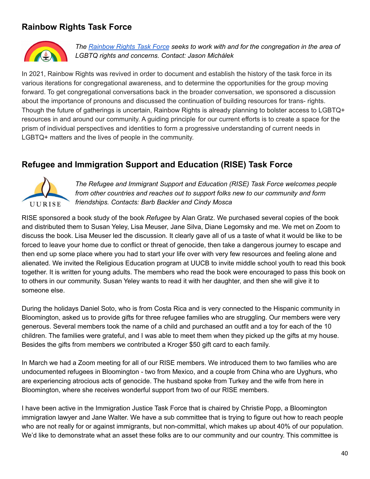### <span id="page-39-0"></span>**Rainbow Rights Task Force**



*The [Rainbow](http://www.uubloomington.org/social-justice/rainbow-rights-task-force/) Rights Task Force seeks to work with and for the congregation in the area of LGBTQ rights and concerns. Contact: [Jason](http://www.uubloomington.org/social-justice/amakice@gmail.com) [Michálek](https://www.facebook.com/JasonRelentlessly?__cft__[0]=AZUOirJSONrbWMMW24IwE-Q-Kc8pf5j25Mn30lT6xWzTsD-lO6p56GvbFWFi5NbJgFrYqFvOCy9qAkE6ztOIivQJqZqrJIcAQlad6N4vSWn2j_KM5K2L9AlSXioiU2pePSo&__tn__=-UC%2CP-R)*

In 2021, Rainbow Rights was revived in order to document and establish the history of the task force in its various iterations for congregational awareness, and to determine the opportunities for the group moving forward. To get congregational conversations back in the broader conversation, we sponsored a discussion about the importance of pronouns and discussed the continuation of building resources for trans- rights. Though the future of gatherings is uncertain, Rainbow Rights is already planning to bolster access to LGBTQ+ resources in and around our community. A guiding principle for our current efforts is to create a space for the prism of individual perspectives and identities to form a progressive understanding of current needs in LGBTQ+ matters and the lives of people in the community.

### <span id="page-39-1"></span>**Refugee and Immigration Support and Education (RISE) Task Force**



*The Refugee and Immigrant Support and Education (RISE) Task Force welcomes people from other countries and reaches out to support folks new to our community and form friendships. Contacts: Barb Backler and Cindy Mosca*

RISE sponsored a book study of the book *Refugee* by Alan Gratz. We purchased several copies of the book and distributed them to Susan Yeley, Lisa Meuser, Jane Silva, Diane Legomsky and me. We met on Zoom to discuss the book. Lisa Meuser led the discussion. It clearly gave all of us a taste of what it would be like to be forced to leave your home due to conflict or threat of genocide, then take a dangerous journey to escape and then end up some place where you had to start your life over with very few resources and feeling alone and alienated. We invited the Religious Education program at UUCB to invite middle school youth to read this book together. It is written for young adults. The members who read the book were encouraged to pass this book on to others in our community. Susan Yeley wants to read it with her daughter, and then she will give it to someone else.

During the holidays Daniel Soto, who is from Costa Rica and is very connected to the Hispanic community in Bloomington, asked us to provide gifts for three refugee families who are struggling. Our members were very generous. Several members took the name of a child and purchased an outfit and a toy for each of the 10 children. The families were grateful, and I was able to meet them when they picked up the gifts at my house. Besides the gifts from members we contributed a Kroger \$50 gift card to each family.

In March we had a Zoom meeting for all of our RISE members. We introduced them to two families who are undocumented refugees in Bloomington - two from Mexico, and a couple from China who are Uyghurs, who are experiencing atrocious acts of genocide. The husband spoke from Turkey and the wife from here in Bloomington, where she receives wonderful support from two of our RISE members.

I have been active in the Immigration Justice Task Force that is chaired by Christie Popp, a Bloomington immigration lawyer and Jane Walter. We have a sub committee that is trying to figure out how to reach people who are not really for or against immigrants, but non-committal, which makes up about 40% of our population. We'd like to demonstrate what an asset these folks are to our community and our country. This committee is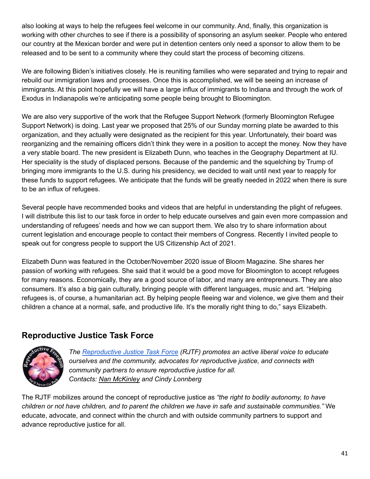also looking at ways to help the refugees feel welcome in our community. And, finally, this organization is working with other churches to see if there is a possibility of sponsoring an asylum seeker. People who entered our country at the Mexican border and were put in detention centers only need a sponsor to allow them to be released and to be sent to a community where they could start the process of becoming citizens.

We are following Biden's initiatives closely. He is reuniting families who were separated and trying to repair and rebuild our immigration laws and processes. Once this is accomplished, we will be seeing an increase of immigrants. At this point hopefully we will have a large influx of immigrants to Indiana and through the work of Exodus in Indianapolis we're anticipating some people being brought to Bloomington.

We are also very supportive of the work that the Refugee Support Network (formerly Bloomington Refugee Support Network) is doing. Last year we proposed that 25% of our Sunday morning plate be awarded to this organization, and they actually were designated as the recipient for this year. Unfortunately, their board was reorganizing and the remaining officers didn't think they were in a position to accept the money. Now they have a very stable board. The new president is Elizabeth Dunn, who teaches in the Geography Department at IU. Her speciality is the study of displaced persons. Because of the pandemic and the squelching by Trump of bringing more immigrants to the U.S. during his presidency, we decided to wait until next year to reapply for these funds to support refugees. We anticipate that the funds will be greatly needed in 2022 when there is sure to be an influx of refugees.

Several people have recommended books and videos that are helpful in understanding the plight of refugees. I will distribute this list to our task force in order to help educate ourselves and gain even more compassion and understanding of refugees' needs and how we can support them. We also try to share information about current legislation and encourage people to contact their members of Congress. Recently I invited people to speak out for congress people to support the US Citizenship Act of 2021.

Elizabeth Dunn was featured in the October/November 2020 issue of Bloom Magazine. She shares her passion of working with refugees. She said that it would be a good move for Bloomington to accept refugees for many reasons. Economically, they are a good source of labor, and many are entrepreneurs. They are also consumers. It's also a big gain culturally, bringing people with different languages, music and art. "Helping refugees is, of course, a humanitarian act. By helping people fleeing war and violence, we give them and their children a chance at a normal, safe, and productive life. It's the morally right thing to do," says Elizabeth.

### <span id="page-40-0"></span>**Reproductive Justice Task Force**



*The [Reproductive](http://www.uubloomington.org/social-justice/reproductive-justice-task-force/) Justice Task Force (RJTF) promotes an active liberal voice to educate ourselves and the community, advocates for reproductive justice, and connects with community partners to ensure reproductive justice for all. Contacts: Nan [McKinley](mailto:fiddlernan@gmail.com) and Cindy Lonnberg*

The RJTF mobilizes around the concept of reproductive justice as *"the right to bodily autonomy, to have* children or not have children, and to parent the children we have in safe and sustainable communities." We educate, advocate, and connect within the church and with outside community partners to support and advance reproductive justice for all.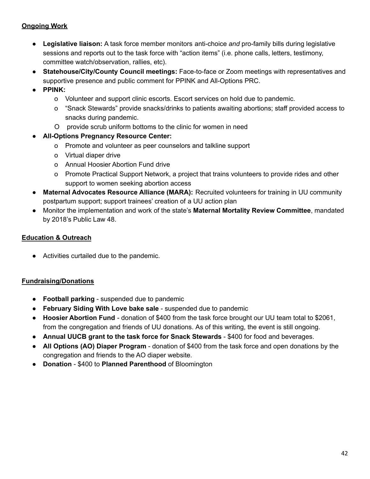#### **Ongoing Work**

- **Legislative liaison:** A task force member monitors anti-choice *and* pro-family bills during legislative sessions and reports out to the task force with "action items" (i.e. phone calls, letters, testimony, committee watch/observation, rallies, etc).
- **Statehouse/City/County Council meetings:** Face-to-face or Zoom meetings with representatives and supportive presence and public comment for PPINK and All-Options PRC.
- **● PPINK:**
	- o Volunteer and support clinic escorts. Escort services on hold due to pandemic.
	- o "Snack Stewards" provide snacks/drinks to patients awaiting abortions; staff provided access to snacks during pandemic.
	- O provide scrub uniform bottoms to the clinic for women in need
- **● All-Options Pregnancy Resource Center:**
	- o Promote and volunteer as peer counselors and talkline support
	- o Virtual diaper drive
	- o Annual Hoosier Abortion Fund drive
	- o Promote Practical Support Network, a project that trains volunteers to provide rides and other support to women seeking abortion access
- **Maternal Advocates Resource Alliance (MARA):** Recruited volunteers for training in UU community postpartum support; support trainees' creation of a UU action plan
- Monitor the implementation and work of the state's **Maternal Mortality Review Committee**, mandated by 2018's Public Law 48.

#### **Education & Outreach**

● Activities curtailed due to the pandemic.

#### **Fundraising/Donations**

- **Football parking** suspended due to pandemic
- **February Siding With Love bake sale** suspended due to pandemic
- **Hoosier Abortion Fund** donation of \$400 from the task force brought our UU team total to \$2061, from the congregation and friends of UU donations. As of this writing, the event is still ongoing.
- **Annual UUCB grant to the task force for Snack Stewards** \$400 for food and beverages.
- **All Options (AO) Diaper Program** donation of \$400 from the task force and open donations by the congregation and friends to the AO diaper website.
- **Donation** \$400 to **Planned Parenthood** of Bloomington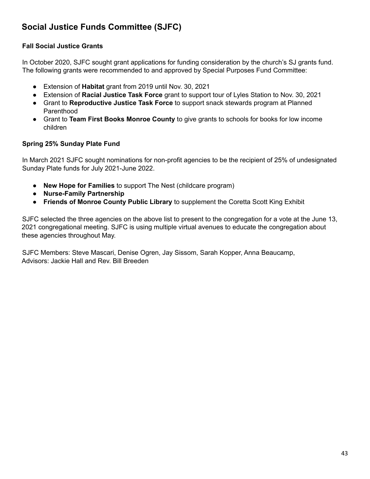### <span id="page-42-0"></span>**Social Justice Funds Committee (SJFC)**

#### **Fall Social Justice Grants**

In October 2020, SJFC sought grant applications for funding consideration by the church's SJ grants fund. The following grants were recommended to and approved by Special Purposes Fund Committee:

- Extension of **Habitat** grant from 2019 until Nov. 30, 2021
- Extension of **Racial Justice Task Force** grant to support tour of Lyles Station to Nov. 30, 2021
- Grant to **Reproductive Justice Task Force** to support snack stewards program at Planned Parenthood
- Grant to **Team First Books Monroe County** to give grants to schools for books for low income children

#### **Spring 25% Sunday Plate Fund**

In March 2021 SJFC sought nominations for non-profit agencies to be the recipient of 25% of undesignated Sunday Plate funds for July 2021-June 2022.

- **● New Hope for Families** to support The Nest (childcare program)
- **● Nurse-Family Partnership**
- **● Friends of Monroe County Public Library** to supplement the Coretta Scott King Exhibit

SJFC selected the three agencies on the above list to present to the congregation for a vote at the June 13, 2021 congregational meeting. SJFC is using multiple virtual avenues to educate the congregation about these agencies throughout May.

SJFC Members: Steve Mascari, Denise Ogren, Jay Sissom, Sarah Kopper, Anna Beaucamp, Advisors: Jackie Hall and Rev. Bill Breeden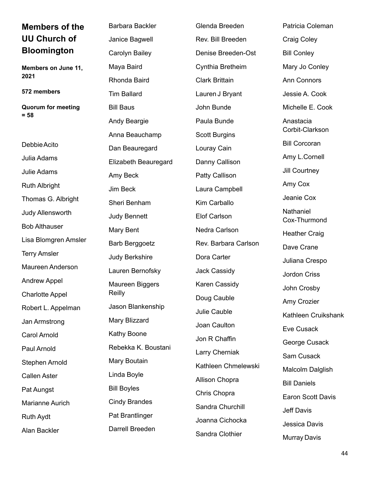<span id="page-43-0"></span>

| <b>Members of the</b>     | <b>Barbara Backler</b> | Glenda Breeden        | Patricia Coleman          |
|---------------------------|------------------------|-----------------------|---------------------------|
| <b>UU Church of</b>       | Janice Bagwell         | Rev. Bill Breeden     | <b>Craig Coley</b>        |
| <b>Bloomington</b>        | Carolyn Bailey         | Denise Breeden-Ost    | <b>Bill Conley</b>        |
| Members on June 11,       | Maya Baird             | Cynthia Bretheim      | Mary Jo Conley            |
| 2021                      | Rhonda Baird           | <b>Clark Brittain</b> | <b>Ann Connors</b>        |
| 572 members               | <b>Tim Ballard</b>     | Lauren J Bryant       | Jessie A. Cook            |
| <b>Quorum for meeting</b> | <b>Bill Baus</b>       | John Bunde            | Michelle E. Cook          |
| $= 58$                    | Andy Beargie           | Paula Bunde           | Anastacia                 |
|                           | Anna Beauchamp         | <b>Scott Burgins</b>  | Corbit-Clarkson           |
| Debbie Acito              | Dan Beauregard         | Louray Cain           | <b>Bill Corcoran</b>      |
| Julia Adams               | Elizabeth Beauregard   | Danny Callison        | Amy L.Cornell             |
| Julie Adams               | Amy Beck               | <b>Patty Callison</b> | Jill Courtney             |
| <b>Ruth Albright</b>      | Jim Beck               | Laura Campbell        | Amy Cox                   |
| Thomas G. Albright        | Sheri Benham           | Kim Carballo          | Jeanie Cox                |
| Judy Allensworth          | <b>Judy Bennett</b>    | <b>Elof Carlson</b>   | Nathaniel<br>Cox-Thurmond |
| <b>Bob Althauser</b>      | Mary Bent              | Nedra Carlson         | <b>Heather Craig</b>      |
| Lisa Blomgren Amsler      | <b>Barb Berggoetz</b>  | Rev. Barbara Carlson  | Dave Crane                |
| <b>Terry Amsler</b>       | <b>Judy Berkshire</b>  | Dora Carter           | Juliana Crespo            |
| Maureen Anderson          | Lauren Bernofsky       | Jack Cassidy          | <b>Jordon Criss</b>       |
| <b>Andrew Appel</b>       | Maureen Biggers        | Karen Cassidy         | John Crosby               |
| <b>Charlotte Appel</b>    | Reilly                 | Doug Cauble           | Amy Crozier               |
| Robert L. Appelman        | Jason Blankenship      | Julie Cauble          | Kathleen Cruikshank       |
| Jan Armstrong             | Mary Blizzard          | Joan Caulton          | Eve Cusack                |
| <b>Carol Arnold</b>       | Kathy Boone            | Jon R Chaffin         | George Cusack             |
| Paul Arnold               | Rebekka K. Boustani    | Larry Cherniak        | Sam Cusack                |
| Stephen Arnold            | Mary Boutain           | Kathleen Chmelewski   | Malcolm Dalglish          |
| <b>Callen Aster</b>       | Linda Boyle            | Allison Chopra        | <b>Bill Daniels</b>       |
| Pat Aungst                | <b>Bill Boyles</b>     | Chris Chopra          | <b>Earon Scott Davis</b>  |
| <b>Marianne Aurich</b>    | <b>Cindy Brandes</b>   | Sandra Churchill      | <b>Jeff Davis</b>         |
| <b>Ruth Aydt</b>          | Pat Brantlinger        | Joanna Cichocka       | Jessica Davis             |
| Alan Backler              | Darrell Breeden        | Sandra Clothier       | <b>Murray Davis</b>       |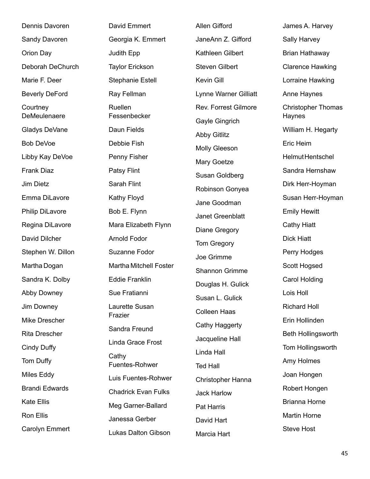| Dennis Davoren           | David Emmert                  | Allen Gifford         | James A. Harvey                     |
|--------------------------|-------------------------------|-----------------------|-------------------------------------|
| Sandy Davoren            | Georgia K. Emmert             | JaneAnn Z. Gifford    | Sally Harvey                        |
| Orion Day                | Judith Epp                    | Kathleen Gilbert      | Brian Hathaway                      |
| Deborah DeChurch         | <b>Taylor Erickson</b>        | <b>Steven Gilbert</b> | <b>Clarence Hawking</b>             |
| Marie F. Deer            | <b>Stephanie Estell</b>       | Kevin Gill            | Lorraine Hawking                    |
| <b>Beverly DeFord</b>    | Ray Fellman                   | Lynne Warner Gilliatt | Anne Haynes                         |
| Courtney<br>DeMeulenaere | Ruellen<br>Fessenbecker       | Rev. Forrest Gilmore  | <b>Christopher Thomas</b><br>Haynes |
| Gladys DeVane            | Daun Fields                   | Gayle Gingrich        | William H. Hegarty                  |
| <b>Bob DeVoe</b>         | Debbie Fish                   | <b>Abby Gitlitz</b>   | Eric Heim                           |
| Libby Kay DeVoe          | Penny Fisher                  | <b>Molly Gleeson</b>  | Helmut Hentschel                    |
| Frank Diaz               | Patsy Flint                   | Mary Goetze           | Sandra Hernshaw                     |
| <b>Jim Dietz</b>         | Sarah Flint                   | Susan Goldberg        | Dirk Herr-Hoyman                    |
|                          |                               | Robinson Gonyea       |                                     |
| Emma DiLavore            | Kathy Floyd                   | Jane Goodman          | Susan Herr-Hoyman                   |
| Philip DiLavore          | Bob E. Flynn                  | Janet Greenblatt      | <b>Emily Hewitt</b>                 |
| Regina DiLavore          | Mara Elizabeth Flynn          | Diane Gregory         | <b>Cathy Hiatt</b>                  |
| David Dilcher            | <b>Arnold Fodor</b>           | Tom Gregory           | <b>Dick Hiatt</b>                   |
| Stephen W. Dillon        | Suzanne Fodor                 | Joe Grimme            | Perry Hodges                        |
| Martha Dogan             | <b>Martha Mitchell Foster</b> | Shannon Grimme        | Scott Hogsed                        |
| Sandra K. Dolby          | <b>Eddie Franklin</b>         | Douglas H. Gulick     | Carol Holding                       |
| Abby Downey              | Sue Fratianni                 | Susan L. Gulick       | Lois Holl                           |
| Jim Downey               | Laurette Susan                | <b>Colleen Haas</b>   | <b>Richard Holl</b>                 |
| Mike Drescher            | Frazier                       | Cathy Haggerty        | Erin Hollinden                      |
| <b>Rita Drescher</b>     | Sandra Freund                 | Jacqueline Hall       | Beth Hollingsworth                  |
| Cindy Duffy              | Linda Grace Frost             | Linda Hall            | Tom Hollingsworth                   |
| Tom Duffy                | Cathy<br>Fuentes-Rohwer       | <b>Ted Hall</b>       | Amy Holmes                          |
| Miles Eddy               | Luis Fuentes-Rohwer           | Christopher Hanna     | Joan Hongen                         |
| <b>Brandi Edwards</b>    | <b>Chadrick Evan Fulks</b>    | <b>Jack Harlow</b>    | Robert Hongen                       |
| Kate Ellis               | Meg Garner-Ballard            | Pat Harris            | <b>Brianna Horne</b>                |
| Ron Ellis                | Janessa Gerber                | David Hart            | Martin Horne                        |
| <b>Carolyn Emmert</b>    | Lukas Dalton Gibson           |                       | <b>Steve Host</b>                   |
|                          |                               | Marcia Hart           |                                     |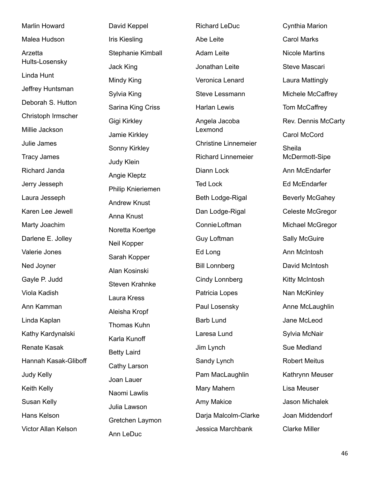Marlin Howard Malea Hudson Arzetta Hults-Losensky Linda Hunt Jeffrey Huntsman Deborah S. Hutton Christoph Irmscher Millie Jackson Julie James Tracy James Richard Janda Jerry Jesseph Laura Jesseph Karen Lee Jewell Marty Joachim Darlene E. Jolley Valerie Jones Ned Joyner Gayle P. Judd Viola Kadish Ann Kamman Linda Kaplan Kathy Kardynalski Renate Kasak Hannah Kasak-Gliboff Judy Kelly Keith Kelly Susan Kelly Hans Kelson Victor Allan Kelson

David Keppel Iris Kiesling Stephanie Kimball Jack King Mindy King Sylvia King Sarina King Criss Gigi Kirkley Jamie Kirkley Sonny Kirkley Judy Klein Angie Kleptz Philip Knieriemen Andrew Knust Anna Knust Noretta Koertge Neil Kopper Sarah Kopper Alan Kosinski Steven Krahnke Laura Kress Aleisha Kropf Thomas Kuhn Karla Kunoff Betty Laird Cathy Larson Joan Lauer Naomi Lawlis Julia Lawson Gretchen Laymon Ann LeDuc

Richard LeDuc Abe Leite Adam Leite Jonathan Leite Veronica Lenard Steve Lessmann Harlan Lewis Angela Jacoba Lexmond Christine Linnemeier Richard Linnemeier Diann Lock Ted Lock Beth Lodge-Rigal Dan Lodge-Rigal ConnieLoftman Guy Loftman Ed Long Bill Lonnberg Cindy Lonnberg Patricia Lopes Paul Losensky Barb Lund Laresa Lund Jim Lynch Sandy Lynch Pam MacLaughlin Mary Mahern Amy Makice Darja Malcolm-Clarke Jessica Marchbank

Cynthia Marion Carol Marks Nicole Martins Steve Mascari Laura Mattingly Michele McCaffrey Tom McCaffrey Rev. Dennis McCarty Carol McCord Sheila McDermott-Sipe Ann McEndarfer Ed McEndarfer Beverly McGahey Celeste McGregor Michael McGregor Sally McGuire Ann McIntosh David McIntosh Kitty McIntosh Nan McKinley Anne McLaughlin Jane McLeod Sylvia McNair Sue Medland Robert Meitus Kathrynn Meuser Lisa Meuser Jason Michalek Joan Middendorf Clarke Miller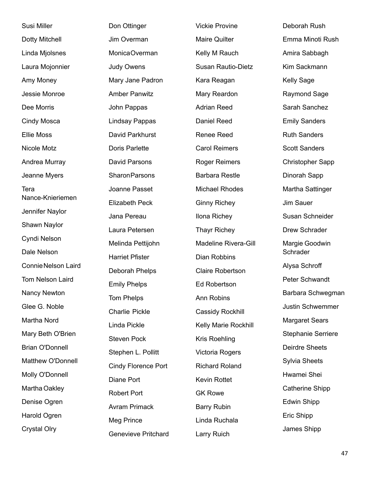| Emma Minoti Rush<br>Amira Sabbagh<br>Kim Sackmann |
|---------------------------------------------------|
|                                                   |
|                                                   |
|                                                   |
| <b>Kelly Sage</b>                                 |
| Raymond Sage                                      |
| Sarah Sanchez                                     |
| <b>Emily Sanders</b>                              |
| <b>Ruth Sanders</b>                               |
| <b>Scott Sanders</b>                              |
| <b>Christopher Sapp</b>                           |
| Dinorah Sapp                                      |
| Martha Sattinger                                  |
| Jim Sauer                                         |
| Susan Schneider                                   |
| Drew Schrader                                     |
| Margie Goodwin                                    |
| Schrader                                          |
| Alysa Schroff                                     |
| Peter Schwandt                                    |
| Barbara Schwegman                                 |
| Justin Schwemmer                                  |
| <b>Margaret Sears</b>                             |
| <b>Stephanie Serriere</b>                         |
| <b>Deirdre Sheets</b>                             |
|                                                   |
| Sylvia Sheets                                     |
| Hwamei Shei                                       |
| <b>Catherine Shipp</b>                            |
| <b>Edwin Shipp</b>                                |
| Eric Shipp                                        |
|                                                   |